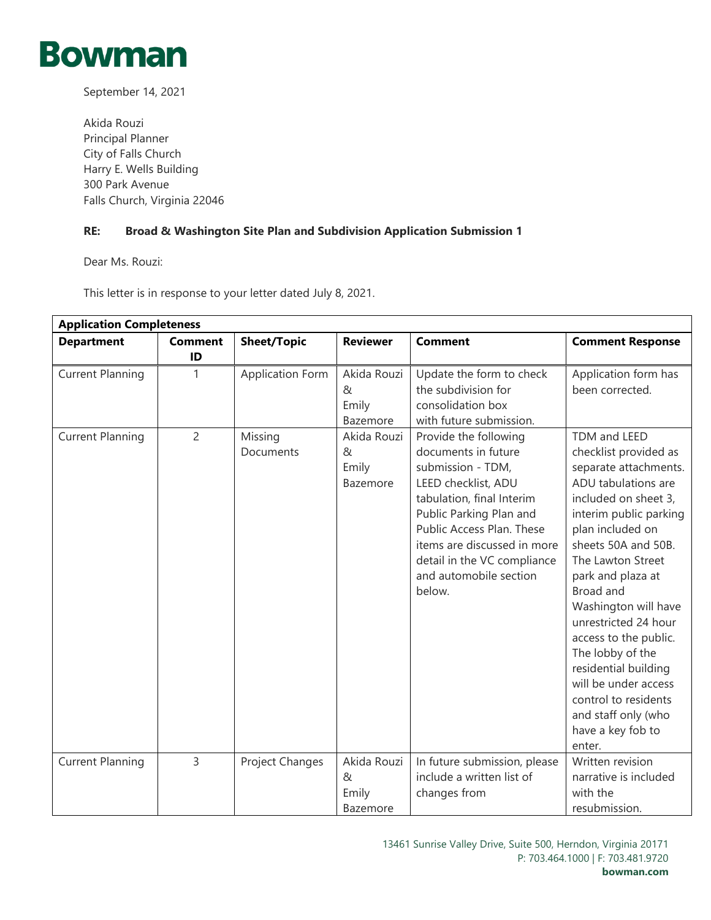

September 14, 2021

Akida Rouzi Principal Planner City of Falls Church Harry E. Wells Building 300 Park Avenue Falls Church, Virginia 22046

## **RE: Broad & Washington Site Plan and Subdivision Application Submission 1**

Dear Ms. Rouzi:

This letter is in response to your letter dated July 8, 2021.

| <b>Application Completeness</b> |                      |                         |                                       |                                                                                                                                                                                                                                                                                 |                                                                                                                                                                                                                                                                                                                                                                                                                                                                      |  |
|---------------------------------|----------------------|-------------------------|---------------------------------------|---------------------------------------------------------------------------------------------------------------------------------------------------------------------------------------------------------------------------------------------------------------------------------|----------------------------------------------------------------------------------------------------------------------------------------------------------------------------------------------------------------------------------------------------------------------------------------------------------------------------------------------------------------------------------------------------------------------------------------------------------------------|--|
| <b>Department</b>               | <b>Comment</b><br>ID | <b>Sheet/Topic</b>      | <b>Reviewer</b>                       | <b>Comment</b>                                                                                                                                                                                                                                                                  | <b>Comment Response</b>                                                                                                                                                                                                                                                                                                                                                                                                                                              |  |
| <b>Current Planning</b>         | 1                    | <b>Application Form</b> | Akida Rouzi<br>&<br>Emily<br>Bazemore | Update the form to check<br>the subdivision for<br>consolidation box<br>with future submission.                                                                                                                                                                                 | Application form has<br>been corrected.                                                                                                                                                                                                                                                                                                                                                                                                                              |  |
| <b>Current Planning</b>         | $\overline{c}$       | Missing<br>Documents    | Akida Rouzi<br>&<br>Emily<br>Bazemore | Provide the following<br>documents in future<br>submission - TDM,<br>LEED checklist, ADU<br>tabulation, final Interim<br>Public Parking Plan and<br>Public Access Plan. These<br>items are discussed in more<br>detail in the VC compliance<br>and automobile section<br>below. | TDM and LEED<br>checklist provided as<br>separate attachments.<br>ADU tabulations are<br>included on sheet 3,<br>interim public parking<br>plan included on<br>sheets 50A and 50B.<br>The Lawton Street<br>park and plaza at<br>Broad and<br>Washington will have<br>unrestricted 24 hour<br>access to the public.<br>The lobby of the<br>residential building<br>will be under access<br>control to residents<br>and staff only (who<br>have a key fob to<br>enter. |  |
| <b>Current Planning</b>         | $\overline{3}$       | Project Changes         | Akida Rouzi<br>&<br>Emily<br>Bazemore | In future submission, please<br>include a written list of<br>changes from                                                                                                                                                                                                       | Written revision<br>narrative is included<br>with the<br>resubmission.                                                                                                                                                                                                                                                                                                                                                                                               |  |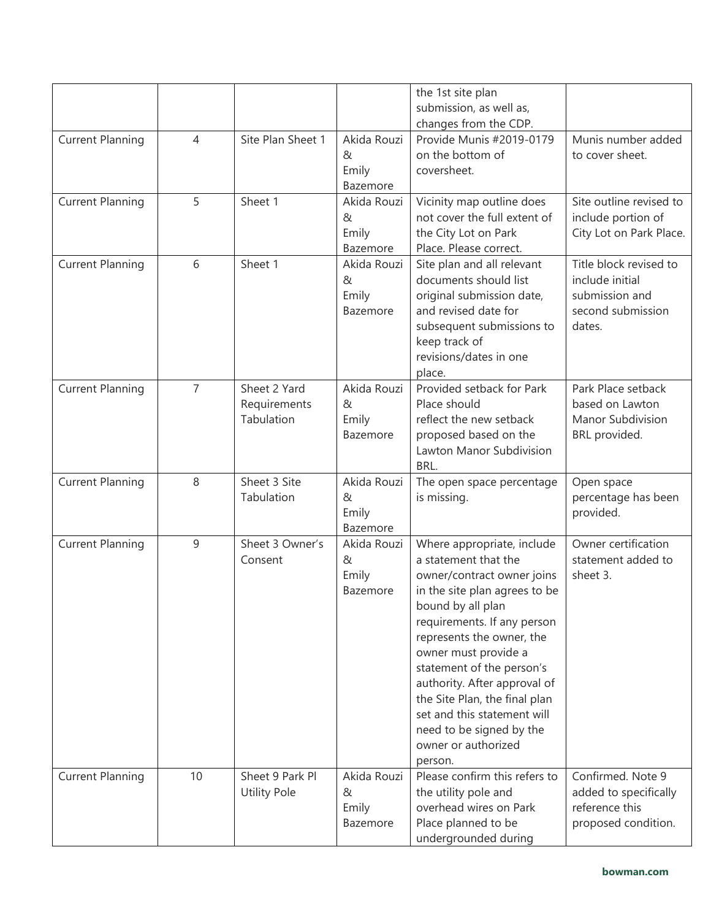|                         |                |                     |                  | the 1st site plan                                 |                                   |
|-------------------------|----------------|---------------------|------------------|---------------------------------------------------|-----------------------------------|
|                         |                |                     |                  | submission, as well as,                           |                                   |
| <b>Current Planning</b> | 4              | Site Plan Sheet 1   | Akida Rouzi      | changes from the CDP.<br>Provide Munis #2019-0179 | Munis number added                |
|                         |                |                     | &                | on the bottom of                                  | to cover sheet.                   |
|                         |                |                     | Emily            | coversheet.                                       |                                   |
|                         |                |                     | Bazemore         |                                                   |                                   |
| <b>Current Planning</b> | 5              | Sheet 1             | Akida Rouzi      | Vicinity map outline does                         | Site outline revised to           |
|                         |                |                     | &                | not cover the full extent of                      | include portion of                |
|                         |                |                     | Emily            | the City Lot on Park                              | City Lot on Park Place.           |
|                         |                |                     | Bazemore         | Place. Please correct.                            |                                   |
| <b>Current Planning</b> | 6              | Sheet 1             | Akida Rouzi      | Site plan and all relevant                        | Title block revised to            |
|                         |                |                     | &                | documents should list                             | include initial                   |
|                         |                |                     | Emily            | original submission date,                         | submission and                    |
|                         |                |                     | Bazemore         | and revised date for                              | second submission                 |
|                         |                |                     |                  | subsequent submissions to<br>keep track of        | dates.                            |
|                         |                |                     |                  | revisions/dates in one                            |                                   |
|                         |                |                     |                  | place.                                            |                                   |
| <b>Current Planning</b> | $\overline{7}$ | Sheet 2 Yard        | Akida Rouzi      | Provided setback for Park                         | Park Place setback                |
|                         |                | Requirements        | &                | Place should                                      | based on Lawton                   |
|                         |                | Tabulation          | Emily            | reflect the new setback                           | Manor Subdivision                 |
|                         |                |                     | Bazemore         | proposed based on the                             | BRL provided.                     |
|                         |                |                     |                  | Lawton Manor Subdivision                          |                                   |
|                         | 8              | Sheet 3 Site        |                  | BRL.                                              |                                   |
| <b>Current Planning</b> |                | Tabulation          | Akida Rouzi<br>& | The open space percentage<br>is missing.          | Open space<br>percentage has been |
|                         |                |                     | Emily            |                                                   | provided.                         |
|                         |                |                     | Bazemore         |                                                   |                                   |
| <b>Current Planning</b> | 9              | Sheet 3 Owner's     | Akida Rouzi      | Where appropriate, include                        | Owner certification               |
|                         |                | Consent             | &                | a statement that the                              | statement added to                |
|                         |                |                     | Emily            | owner/contract owner joins                        | sheet 3.                          |
|                         |                |                     | Bazemore         | in the site plan agrees to be                     |                                   |
|                         |                |                     |                  | bound by all plan                                 |                                   |
|                         |                |                     |                  | requirements. If any person                       |                                   |
|                         |                |                     |                  | represents the owner, the<br>owner must provide a |                                   |
|                         |                |                     |                  | statement of the person's                         |                                   |
|                         |                |                     |                  | authority. After approval of                      |                                   |
|                         |                |                     |                  | the Site Plan, the final plan                     |                                   |
|                         |                |                     |                  | set and this statement will                       |                                   |
|                         |                |                     |                  | need to be signed by the                          |                                   |
|                         |                |                     |                  | owner or authorized                               |                                   |
|                         |                |                     |                  | person.                                           |                                   |
| <b>Current Planning</b> | 10             | Sheet 9 Park Pl     | Akida Rouzi      | Please confirm this refers to                     | Confirmed. Note 9                 |
|                         |                | <b>Utility Pole</b> | &                | the utility pole and                              | added to specifically             |
|                         |                |                     | Emily            | overhead wires on Park                            | reference this                    |
|                         |                |                     | Bazemore         | Place planned to be<br>undergrounded during       | proposed condition.               |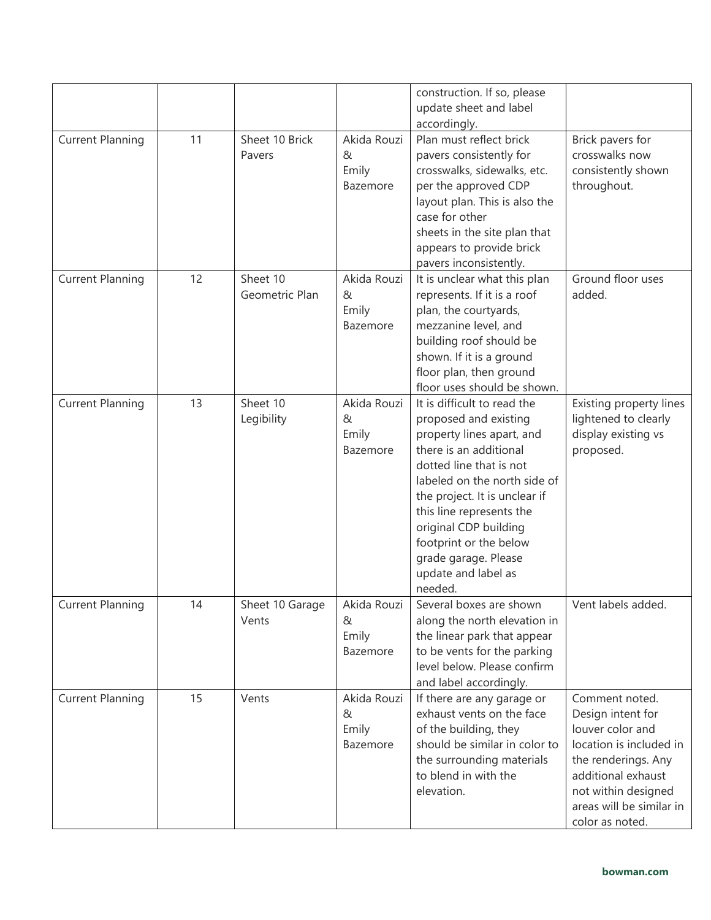|                         |    |                            |                                       | construction. If so, please<br>update sheet and label<br>accordingly.                                                                                                                                                                                                                                                                            |                                                                                                                                                                                                       |
|-------------------------|----|----------------------------|---------------------------------------|--------------------------------------------------------------------------------------------------------------------------------------------------------------------------------------------------------------------------------------------------------------------------------------------------------------------------------------------------|-------------------------------------------------------------------------------------------------------------------------------------------------------------------------------------------------------|
| <b>Current Planning</b> | 11 | Sheet 10 Brick<br>Pavers   | Akida Rouzi<br>&<br>Emily<br>Bazemore | Plan must reflect brick<br>pavers consistently for<br>crosswalks, sidewalks, etc.<br>per the approved CDP<br>layout plan. This is also the<br>case for other<br>sheets in the site plan that<br>appears to provide brick<br>pavers inconsistently.                                                                                               | Brick pavers for<br>crosswalks now<br>consistently shown<br>throughout.                                                                                                                               |
| <b>Current Planning</b> | 12 | Sheet 10<br>Geometric Plan | Akida Rouzi<br>&<br>Emily<br>Bazemore | It is unclear what this plan<br>represents. If it is a roof<br>plan, the courtyards,<br>mezzanine level, and<br>building roof should be<br>shown. If it is a ground<br>floor plan, then ground<br>floor uses should be shown.                                                                                                                    | Ground floor uses<br>added.                                                                                                                                                                           |
| <b>Current Planning</b> | 13 | Sheet 10<br>Legibility     | Akida Rouzi<br>&<br>Emily<br>Bazemore | It is difficult to read the<br>proposed and existing<br>property lines apart, and<br>there is an additional<br>dotted line that is not<br>labeled on the north side of<br>the project. It is unclear if<br>this line represents the<br>original CDP building<br>footprint or the below<br>grade garage. Please<br>update and label as<br>needed. | Existing property lines<br>lightened to clearly<br>display existing vs<br>proposed.                                                                                                                   |
| <b>Current Planning</b> | 14 | Sheet 10 Garage<br>Vents   | Akida Rouzi<br>&<br>Emily<br>Bazemore | Several boxes are shown<br>along the north elevation in<br>the linear park that appear<br>to be vents for the parking<br>level below. Please confirm<br>and label accordingly.                                                                                                                                                                   | Vent labels added.                                                                                                                                                                                    |
| <b>Current Planning</b> | 15 | Vents                      | Akida Rouzi<br>&<br>Emily<br>Bazemore | If there are any garage or<br>exhaust vents on the face<br>of the building, they<br>should be similar in color to<br>the surrounding materials<br>to blend in with the<br>elevation.                                                                                                                                                             | Comment noted.<br>Design intent for<br>louver color and<br>location is included in<br>the renderings. Any<br>additional exhaust<br>not within designed<br>areas will be similar in<br>color as noted. |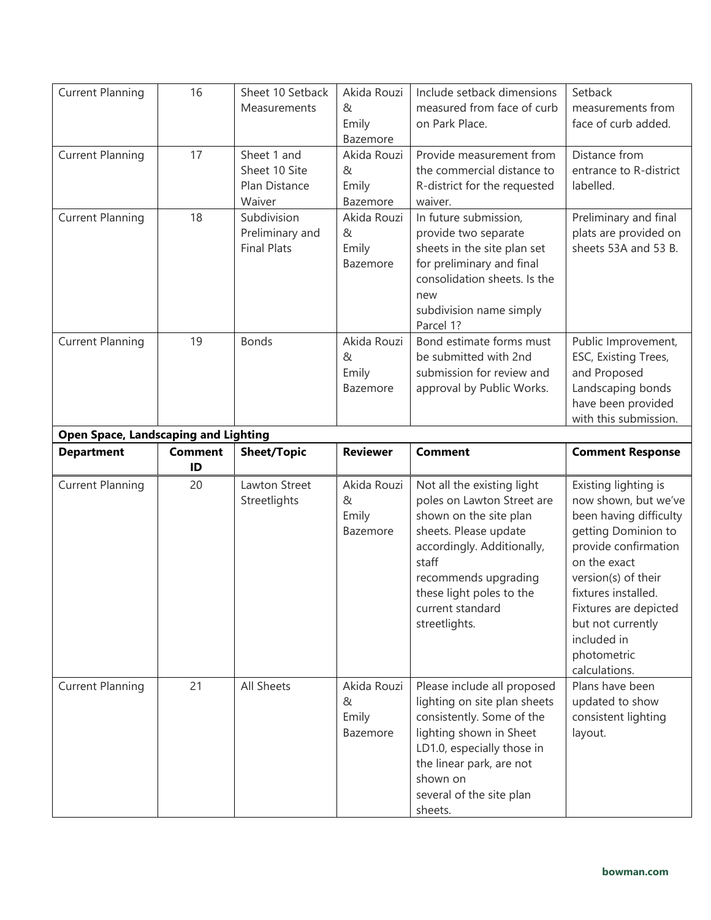| <b>Current Planning</b>                     | 16                   | Sheet 10 Setback<br>Measurements                        | Akida Rouzi<br>$\alpha$<br>Emily<br>Bazemore | Include setback dimensions<br>measured from face of curb<br>on Park Place.                                                                                                                                                                  | Setback<br>measurements from<br>face of curb added.                                                                                                                                                                                                                              |
|---------------------------------------------|----------------------|---------------------------------------------------------|----------------------------------------------|---------------------------------------------------------------------------------------------------------------------------------------------------------------------------------------------------------------------------------------------|----------------------------------------------------------------------------------------------------------------------------------------------------------------------------------------------------------------------------------------------------------------------------------|
| <b>Current Planning</b>                     | 17                   | Sheet 1 and<br>Sheet 10 Site<br>Plan Distance<br>Waiver | Akida Rouzi<br>&<br>Emily<br>Bazemore        | Provide measurement from<br>the commercial distance to<br>R-district for the requested<br>waiver.                                                                                                                                           | Distance from<br>entrance to R-district<br>labelled.                                                                                                                                                                                                                             |
| <b>Current Planning</b>                     | 18                   | Subdivision<br>Preliminary and<br><b>Final Plats</b>    | Akida Rouzi<br>&<br>Emily<br>Bazemore        | In future submission,<br>provide two separate<br>sheets in the site plan set<br>for preliminary and final<br>consolidation sheets. Is the<br>new<br>subdivision name simply<br>Parcel 1?                                                    | Preliminary and final<br>plats are provided on<br>sheets 53A and 53 B.                                                                                                                                                                                                           |
| <b>Current Planning</b>                     | 19                   | <b>Bonds</b>                                            | Akida Rouzi<br>&<br>Emily<br>Bazemore        | Bond estimate forms must<br>be submitted with 2nd<br>submission for review and<br>approval by Public Works.                                                                                                                                 | Public Improvement,<br>ESC, Existing Trees,<br>and Proposed<br>Landscaping bonds<br>have been provided<br>with this submission.                                                                                                                                                  |
| <b>Open Space, Landscaping and Lighting</b> |                      |                                                         |                                              |                                                                                                                                                                                                                                             |                                                                                                                                                                                                                                                                                  |
|                                             |                      |                                                         |                                              |                                                                                                                                                                                                                                             |                                                                                                                                                                                                                                                                                  |
| <b>Department</b>                           | <b>Comment</b><br>ID | <b>Sheet/Topic</b>                                      | <b>Reviewer</b>                              | <b>Comment</b>                                                                                                                                                                                                                              | <b>Comment Response</b>                                                                                                                                                                                                                                                          |
| <b>Current Planning</b>                     | 20                   | Lawton Street<br>Streetlights                           | Akida Rouzi<br>&<br>Emily<br>Bazemore        | Not all the existing light<br>poles on Lawton Street are<br>shown on the site plan<br>sheets. Please update<br>accordingly. Additionally,<br>staff<br>recommends upgrading<br>these light poles to the<br>current standard<br>streetlights. | Existing lighting is<br>now shown, but we've<br>been having difficulty<br>getting Dominion to<br>provide confirmation<br>on the exact<br>version(s) of their<br>fixtures installed.<br>Fixtures are depicted<br>but not currently<br>included in<br>photometric<br>calculations. |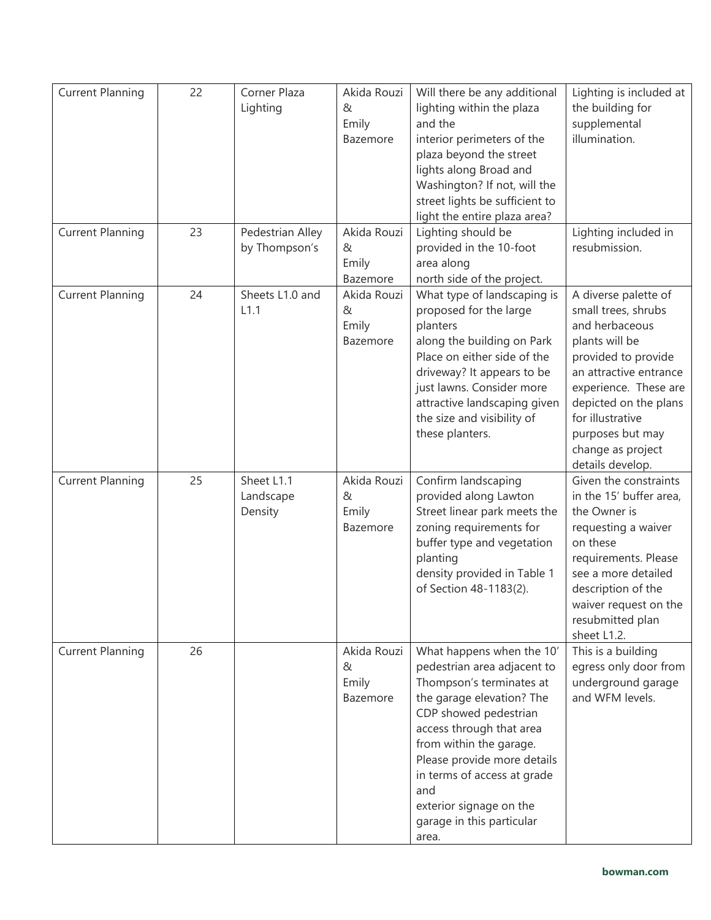| <b>Current Planning</b> | 22 | Corner Plaza<br>Lighting           | Akida Rouzi<br>&<br>Emily<br>Bazemore | Will there be any additional<br>lighting within the plaza<br>and the<br>interior perimeters of the<br>plaza beyond the street<br>lights along Broad and<br>Washington? If not, will the<br>street lights be sufficient to<br>light the entire plaza area?                                                                               | Lighting is included at<br>the building for<br>supplemental<br>illumination.                                                                                                                                                                                        |
|-------------------------|----|------------------------------------|---------------------------------------|-----------------------------------------------------------------------------------------------------------------------------------------------------------------------------------------------------------------------------------------------------------------------------------------------------------------------------------------|---------------------------------------------------------------------------------------------------------------------------------------------------------------------------------------------------------------------------------------------------------------------|
| <b>Current Planning</b> | 23 | Pedestrian Alley<br>by Thompson's  | Akida Rouzi<br>&<br>Emily<br>Bazemore | Lighting should be<br>provided in the 10-foot<br>area along<br>north side of the project.                                                                                                                                                                                                                                               | Lighting included in<br>resubmission.                                                                                                                                                                                                                               |
| <b>Current Planning</b> | 24 | Sheets L1.0 and<br>L1.1            | Akida Rouzi<br>&<br>Emily<br>Bazemore | What type of landscaping is<br>proposed for the large<br>planters<br>along the building on Park<br>Place on either side of the<br>driveway? It appears to be<br>just lawns. Consider more<br>attractive landscaping given<br>the size and visibility of<br>these planters.                                                              | A diverse palette of<br>small trees, shrubs<br>and herbaceous<br>plants will be<br>provided to provide<br>an attractive entrance<br>experience. These are<br>depicted on the plans<br>for illustrative<br>purposes but may<br>change as project<br>details develop. |
| <b>Current Planning</b> | 25 | Sheet L1.1<br>Landscape<br>Density | Akida Rouzi<br>&<br>Emily<br>Bazemore | Confirm landscaping<br>provided along Lawton<br>Street linear park meets the<br>zoning requirements for<br>buffer type and vegetation<br>planting<br>density provided in Table 1<br>of Section 48-1183(2).                                                                                                                              | Given the constraints<br>in the 15' buffer area,<br>the Owner is<br>requesting a waiver<br>on these<br>requirements. Please<br>see a more detailed<br>description of the<br>waiver request on the<br>resubmitted plan<br>sheet L1.2.                                |
| <b>Current Planning</b> | 26 |                                    | Akida Rouzi<br>&<br>Emily<br>Bazemore | What happens when the 10'<br>pedestrian area adjacent to<br>Thompson's terminates at<br>the garage elevation? The<br>CDP showed pedestrian<br>access through that area<br>from within the garage.<br>Please provide more details<br>in terms of access at grade<br>and<br>exterior signage on the<br>garage in this particular<br>area. | This is a building<br>egress only door from<br>underground garage<br>and WFM levels.                                                                                                                                                                                |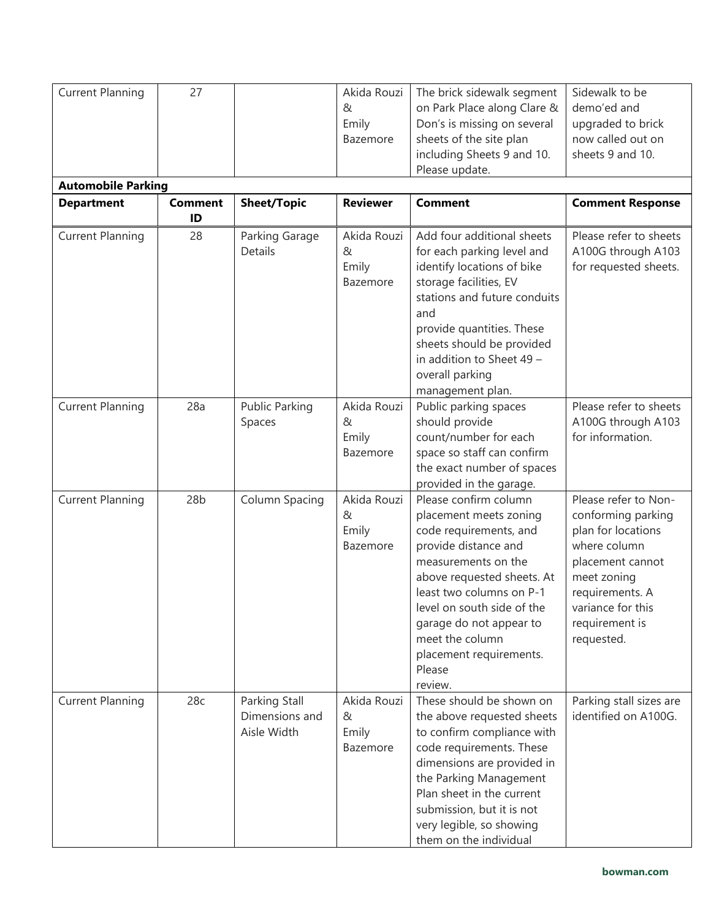| <b>Current Planning</b>   | 27                   |                                                | Akida Rouzi<br>&<br>Emily<br>Bazemore | The brick sidewalk segment<br>on Park Place along Clare &<br>Don's is missing on several<br>sheets of the site plan<br>including Sheets 9 and 10.                                                                                                                                                              | Sidewalk to be<br>demo'ed and<br>upgraded to brick<br>now called out on<br>sheets 9 and 10.                                                                                                 |
|---------------------------|----------------------|------------------------------------------------|---------------------------------------|----------------------------------------------------------------------------------------------------------------------------------------------------------------------------------------------------------------------------------------------------------------------------------------------------------------|---------------------------------------------------------------------------------------------------------------------------------------------------------------------------------------------|
|                           |                      |                                                |                                       | Please update.                                                                                                                                                                                                                                                                                                 |                                                                                                                                                                                             |
| <b>Automobile Parking</b> |                      |                                                |                                       |                                                                                                                                                                                                                                                                                                                |                                                                                                                                                                                             |
| <b>Department</b>         | <b>Comment</b><br>ID | <b>Sheet/Topic</b>                             | <b>Reviewer</b>                       | <b>Comment</b>                                                                                                                                                                                                                                                                                                 | <b>Comment Response</b>                                                                                                                                                                     |
| <b>Current Planning</b>   | 28                   | Parking Garage<br>Details                      | Akida Rouzi<br>&<br>Emily<br>Bazemore | Add four additional sheets<br>for each parking level and<br>identify locations of bike<br>storage facilities, EV<br>stations and future conduits<br>and<br>provide quantities. These<br>sheets should be provided<br>in addition to Sheet 49 -<br>overall parking<br>management plan.                          | Please refer to sheets<br>A100G through A103<br>for requested sheets.                                                                                                                       |
| <b>Current Planning</b>   | 28a                  | <b>Public Parking</b><br>Spaces                | Akida Rouzi<br>&<br>Emily<br>Bazemore | Public parking spaces<br>should provide<br>count/number for each<br>space so staff can confirm<br>the exact number of spaces<br>provided in the garage.                                                                                                                                                        | Please refer to sheets<br>A100G through A103<br>for information.                                                                                                                            |
| <b>Current Planning</b>   | 28 <sub>b</sub>      | Column Spacing                                 | Akida Rouzi<br>&<br>Emily<br>Bazemore | Please confirm column<br>placement meets zoning<br>code requirements, and<br>provide distance and<br>measurements on the<br>above requested sheets. At<br>least two columns on P-1<br>level on south side of the<br>garage do not appear to<br>meet the column<br>placement requirements.<br>Please<br>review. | Please refer to Non-<br>conforming parking<br>plan for locations<br>where column<br>placement cannot<br>meet zoning<br>requirements. A<br>variance for this<br>requirement is<br>requested. |
| <b>Current Planning</b>   | 28c                  | Parking Stall<br>Dimensions and<br>Aisle Width | Akida Rouzi<br>&<br>Emily<br>Bazemore | These should be shown on<br>the above requested sheets<br>to confirm compliance with<br>code requirements. These<br>dimensions are provided in<br>the Parking Management<br>Plan sheet in the current<br>submission, but it is not<br>very legible, so showing<br>them on the individual                       | Parking stall sizes are<br>identified on A100G.                                                                                                                                             |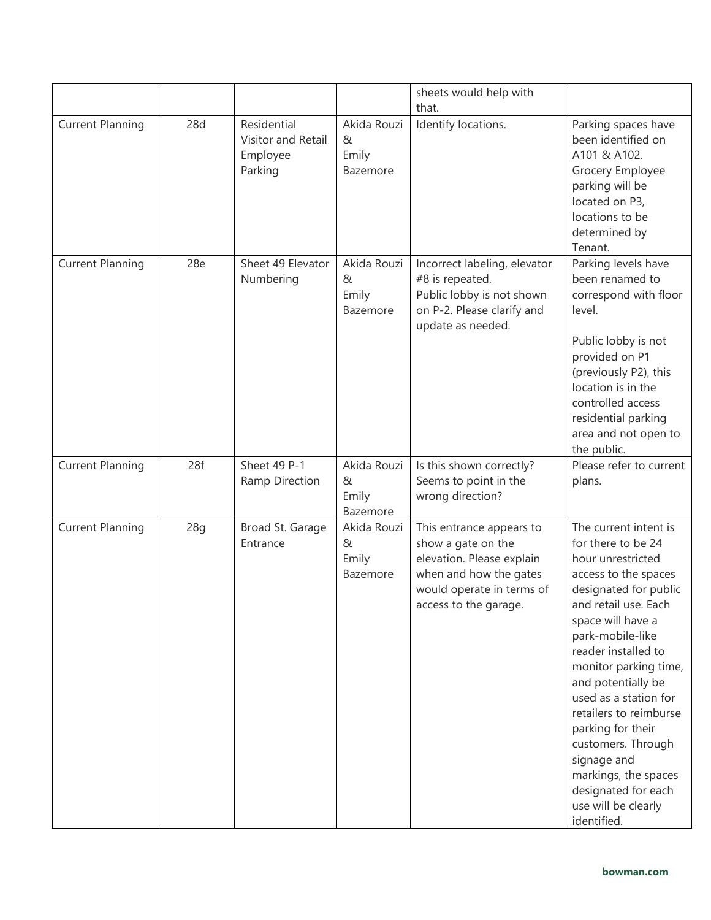|                         |     |                                                          |                                       | sheets would help with                                                                                                                                      |                                                                                                                                                                                                                                                                                                                                                                                                                                                            |
|-------------------------|-----|----------------------------------------------------------|---------------------------------------|-------------------------------------------------------------------------------------------------------------------------------------------------------------|------------------------------------------------------------------------------------------------------------------------------------------------------------------------------------------------------------------------------------------------------------------------------------------------------------------------------------------------------------------------------------------------------------------------------------------------------------|
|                         |     |                                                          |                                       | that.                                                                                                                                                       |                                                                                                                                                                                                                                                                                                                                                                                                                                                            |
| <b>Current Planning</b> | 28d | Residential<br>Visitor and Retail<br>Employee<br>Parking | Akida Rouzi<br>&<br>Emily<br>Bazemore | Identify locations.                                                                                                                                         | Parking spaces have<br>been identified on<br>A101 & A102.<br>Grocery Employee<br>parking will be<br>located on P3,<br>locations to be<br>determined by<br>Tenant.                                                                                                                                                                                                                                                                                          |
| <b>Current Planning</b> | 28e | Sheet 49 Elevator<br>Numbering                           | Akida Rouzi<br>&<br>Emily<br>Bazemore | Incorrect labeling, elevator<br>#8 is repeated.<br>Public lobby is not shown<br>on P-2. Please clarify and<br>update as needed.                             | Parking levels have<br>been renamed to<br>correspond with floor<br>level.<br>Public lobby is not<br>provided on P1<br>(previously P2), this<br>location is in the<br>controlled access<br>residential parking<br>area and not open to<br>the public.                                                                                                                                                                                                       |
| <b>Current Planning</b> | 28f | Sheet 49 P-1<br>Ramp Direction                           | Akida Rouzi<br>&<br>Emily<br>Bazemore | Is this shown correctly?<br>Seems to point in the<br>wrong direction?                                                                                       | Please refer to current<br>plans.                                                                                                                                                                                                                                                                                                                                                                                                                          |
| <b>Current Planning</b> | 28q | Broad St. Garage<br>Entrance                             | Akida Rouzi<br>&<br>Emily<br>Bazemore | This entrance appears to<br>show a gate on the<br>elevation. Please explain<br>when and how the gates<br>would operate in terms of<br>access to the garage. | The current intent is<br>for there to be 24<br>hour unrestricted<br>access to the spaces<br>designated for public<br>and retail use. Each<br>space will have a<br>park-mobile-like<br>reader installed to<br>monitor parking time,<br>and potentially be<br>used as a station for<br>retailers to reimburse<br>parking for their<br>customers. Through<br>signage and<br>markings, the spaces<br>designated for each<br>use will be clearly<br>identified. |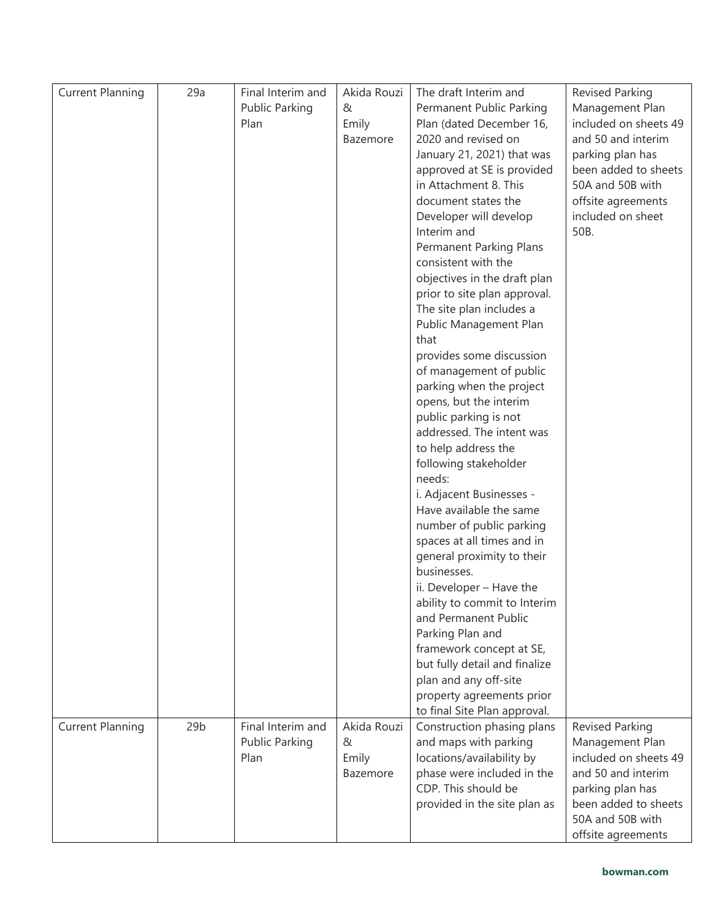| <b>Current Planning</b> | 29a             | Final Interim and | Akida Rouzi | The draft Interim and                              | Revised Parking        |
|-------------------------|-----------------|-------------------|-------------|----------------------------------------------------|------------------------|
|                         |                 | Public Parking    | &           | Permanent Public Parking                           | Management Plan        |
|                         |                 | Plan              | Emily       | Plan (dated December 16,                           | included on sheets 49  |
|                         |                 |                   | Bazemore    | 2020 and revised on                                | and 50 and interim     |
|                         |                 |                   |             | January 21, 2021) that was                         | parking plan has       |
|                         |                 |                   |             | approved at SE is provided                         | been added to sheets   |
|                         |                 |                   |             | in Attachment 8. This                              | 50A and 50B with       |
|                         |                 |                   |             | document states the                                | offsite agreements     |
|                         |                 |                   |             | Developer will develop                             | included on sheet      |
|                         |                 |                   |             | Interim and                                        | 50B.                   |
|                         |                 |                   |             | Permanent Parking Plans                            |                        |
|                         |                 |                   |             | consistent with the                                |                        |
|                         |                 |                   |             | objectives in the draft plan                       |                        |
|                         |                 |                   |             | prior to site plan approval.                       |                        |
|                         |                 |                   |             | The site plan includes a                           |                        |
|                         |                 |                   |             | Public Management Plan                             |                        |
|                         |                 |                   |             | that                                               |                        |
|                         |                 |                   |             | provides some discussion                           |                        |
|                         |                 |                   |             | of management of public                            |                        |
|                         |                 |                   |             | parking when the project                           |                        |
|                         |                 |                   |             | opens, but the interim                             |                        |
|                         |                 |                   |             | public parking is not<br>addressed. The intent was |                        |
|                         |                 |                   |             | to help address the                                |                        |
|                         |                 |                   |             | following stakeholder                              |                        |
|                         |                 |                   |             | needs:                                             |                        |
|                         |                 |                   |             | i. Adjacent Businesses -                           |                        |
|                         |                 |                   |             | Have available the same                            |                        |
|                         |                 |                   |             | number of public parking                           |                        |
|                         |                 |                   |             | spaces at all times and in                         |                        |
|                         |                 |                   |             | general proximity to their                         |                        |
|                         |                 |                   |             | businesses.                                        |                        |
|                         |                 |                   |             | ii. Developer - Have the                           |                        |
|                         |                 |                   |             | ability to commit to Interim                       |                        |
|                         |                 |                   |             | and Permanent Public                               |                        |
|                         |                 |                   |             | Parking Plan and                                   |                        |
|                         |                 |                   |             | framework concept at SE,                           |                        |
|                         |                 |                   |             | but fully detail and finalize                      |                        |
|                         |                 |                   |             | plan and any off-site                              |                        |
|                         |                 |                   |             | property agreements prior                          |                        |
|                         |                 |                   |             | to final Site Plan approval.                       |                        |
| <b>Current Planning</b> | 29 <sub>b</sub> | Final Interim and | Akida Rouzi | Construction phasing plans                         | <b>Revised Parking</b> |
|                         |                 | Public Parking    | &           | and maps with parking                              | Management Plan        |
|                         |                 | Plan              | Emily       | locations/availability by                          | included on sheets 49  |
|                         |                 |                   | Bazemore    | phase were included in the                         | and 50 and interim     |
|                         |                 |                   |             | CDP. This should be                                | parking plan has       |
|                         |                 |                   |             | provided in the site plan as                       | been added to sheets   |
|                         |                 |                   |             |                                                    | 50A and 50B with       |
|                         |                 |                   |             |                                                    | offsite agreements     |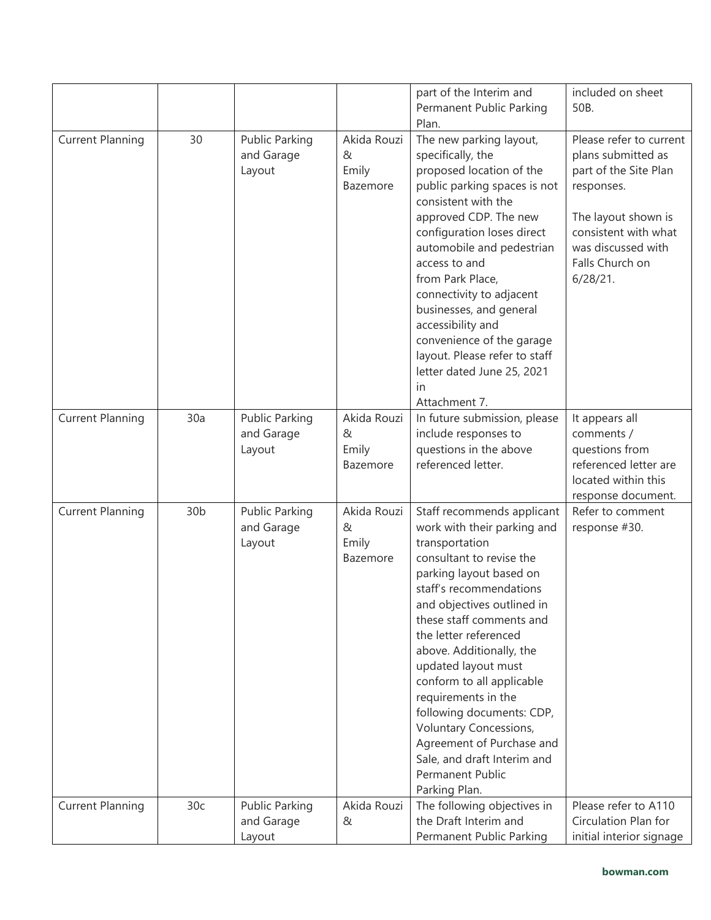|                         |                 |                                               |                                       | part of the Interim and<br>Permanent Public Parking<br>Plan.                                                                                                                                                                                                                                                                                                                                                                                                                                                    | included on sheet<br>50B.                                                                                                                                                                |
|-------------------------|-----------------|-----------------------------------------------|---------------------------------------|-----------------------------------------------------------------------------------------------------------------------------------------------------------------------------------------------------------------------------------------------------------------------------------------------------------------------------------------------------------------------------------------------------------------------------------------------------------------------------------------------------------------|------------------------------------------------------------------------------------------------------------------------------------------------------------------------------------------|
| <b>Current Planning</b> | 30              | <b>Public Parking</b><br>and Garage<br>Layout | Akida Rouzi<br>&<br>Emily<br>Bazemore | The new parking layout,<br>specifically, the<br>proposed location of the<br>public parking spaces is not<br>consistent with the<br>approved CDP. The new<br>configuration loses direct<br>automobile and pedestrian<br>access to and<br>from Park Place,<br>connectivity to adjacent<br>businesses, and general<br>accessibility and<br>convenience of the garage<br>layout. Please refer to staff<br>letter dated June 25, 2021<br>in<br>Attachment 7.                                                         | Please refer to current<br>plans submitted as<br>part of the Site Plan<br>responses.<br>The layout shown is<br>consistent with what<br>was discussed with<br>Falls Church on<br>6/28/21. |
| <b>Current Planning</b> | 30a             | <b>Public Parking</b><br>and Garage<br>Layout | Akida Rouzi<br>&<br>Emily<br>Bazemore | In future submission, please<br>include responses to<br>questions in the above<br>referenced letter.                                                                                                                                                                                                                                                                                                                                                                                                            | It appears all<br>comments /<br>questions from<br>referenced letter are<br>located within this<br>response document.                                                                     |
| <b>Current Planning</b> | 30 <sub>b</sub> | <b>Public Parking</b><br>and Garage<br>Layout | Akida Rouzi<br>&<br>Emily<br>Bazemore | Staff recommends applicant<br>work with their parking and<br>transportation<br>consultant to revise the<br>parking layout based on<br>staff's recommendations<br>and objectives outlined in<br>these staff comments and<br>the letter referenced<br>above. Additionally, the<br>updated layout must<br>conform to all applicable<br>requirements in the<br>following documents: CDP,<br>Voluntary Concessions,<br>Agreement of Purchase and<br>Sale, and draft Interim and<br>Permanent Public<br>Parking Plan. | Refer to comment<br>response #30.                                                                                                                                                        |
| <b>Current Planning</b> | 30c             | <b>Public Parking</b><br>and Garage<br>Layout | Akida Rouzi<br>&                      | The following objectives in<br>the Draft Interim and<br>Permanent Public Parking                                                                                                                                                                                                                                                                                                                                                                                                                                | Please refer to A110<br>Circulation Plan for<br>initial interior signage                                                                                                                 |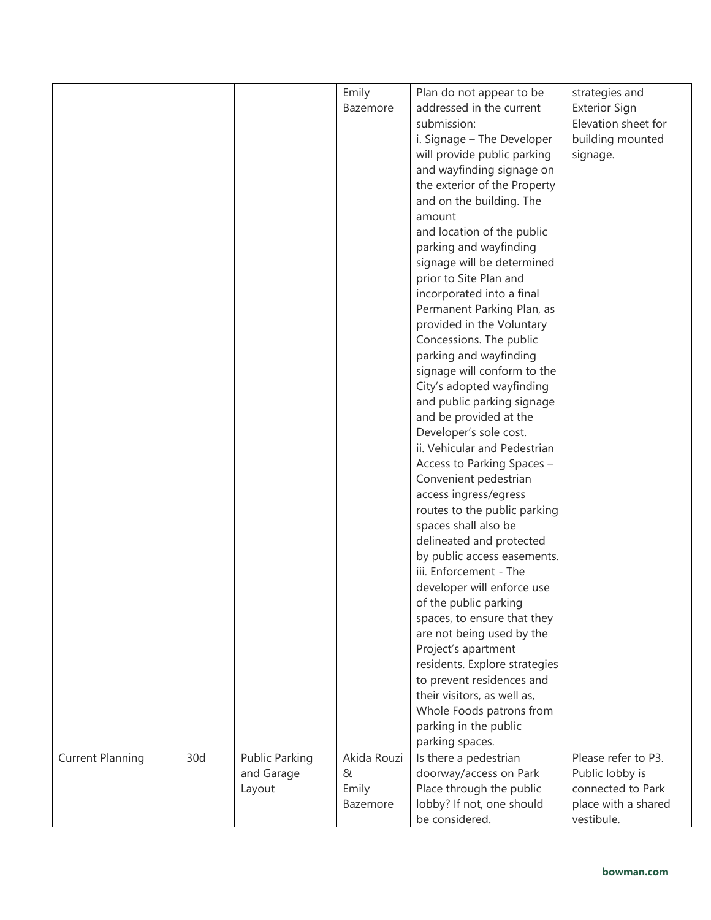|                         |     |                       | Emily       | Plan do not appear to be      | strategies and       |
|-------------------------|-----|-----------------------|-------------|-------------------------------|----------------------|
|                         |     |                       | Bazemore    | addressed in the current      | <b>Exterior Sign</b> |
|                         |     |                       |             | submission:                   | Elevation sheet for  |
|                         |     |                       |             |                               |                      |
|                         |     |                       |             | i. Signage - The Developer    | building mounted     |
|                         |     |                       |             | will provide public parking   | signage.             |
|                         |     |                       |             | and wayfinding signage on     |                      |
|                         |     |                       |             | the exterior of the Property  |                      |
|                         |     |                       |             | and on the building. The      |                      |
|                         |     |                       |             | amount                        |                      |
|                         |     |                       |             | and location of the public    |                      |
|                         |     |                       |             | parking and wayfinding        |                      |
|                         |     |                       |             | signage will be determined    |                      |
|                         |     |                       |             | prior to Site Plan and        |                      |
|                         |     |                       |             | incorporated into a final     |                      |
|                         |     |                       |             | Permanent Parking Plan, as    |                      |
|                         |     |                       |             | provided in the Voluntary     |                      |
|                         |     |                       |             | Concessions. The public       |                      |
|                         |     |                       |             | parking and wayfinding        |                      |
|                         |     |                       |             | signage will conform to the   |                      |
|                         |     |                       |             |                               |                      |
|                         |     |                       |             | City's adopted wayfinding     |                      |
|                         |     |                       |             | and public parking signage    |                      |
|                         |     |                       |             | and be provided at the        |                      |
|                         |     |                       |             | Developer's sole cost.        |                      |
|                         |     |                       |             | ii. Vehicular and Pedestrian  |                      |
|                         |     |                       |             | Access to Parking Spaces -    |                      |
|                         |     |                       |             | Convenient pedestrian         |                      |
|                         |     |                       |             | access ingress/egress         |                      |
|                         |     |                       |             | routes to the public parking  |                      |
|                         |     |                       |             | spaces shall also be          |                      |
|                         |     |                       |             | delineated and protected      |                      |
|                         |     |                       |             | by public access easements.   |                      |
|                         |     |                       |             | iii. Enforcement - The        |                      |
|                         |     |                       |             | developer will enforce use    |                      |
|                         |     |                       |             | of the public parking         |                      |
|                         |     |                       |             | spaces, to ensure that they   |                      |
|                         |     |                       |             | are not being used by the     |                      |
|                         |     |                       |             | Project's apartment           |                      |
|                         |     |                       |             | residents. Explore strategies |                      |
|                         |     |                       |             | to prevent residences and     |                      |
|                         |     |                       |             | their visitors, as well as,   |                      |
|                         |     |                       |             | Whole Foods patrons from      |                      |
|                         |     |                       |             |                               |                      |
|                         |     |                       |             | parking in the public         |                      |
|                         |     |                       |             | parking spaces.               |                      |
| <b>Current Planning</b> | 30d | <b>Public Parking</b> | Akida Rouzi | Is there a pedestrian         | Please refer to P3.  |
|                         |     | and Garage            | &           | doorway/access on Park        | Public lobby is      |
|                         |     | Layout                | Emily       | Place through the public      | connected to Park    |
|                         |     |                       | Bazemore    | lobby? If not, one should     | place with a shared  |
|                         |     |                       |             | be considered.                | vestibule.           |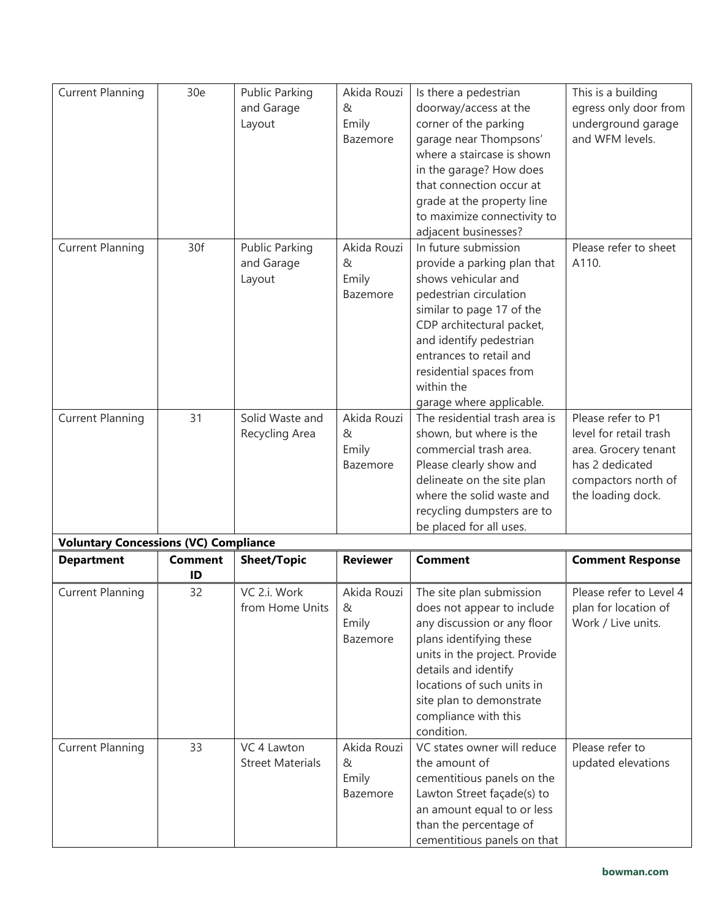| <b>Current Planning</b>                      | 30e                  | <b>Public Parking</b><br>and Garage<br>Layout | Akida Rouzi<br>&<br>Emily<br>Bazemore | Is there a pedestrian<br>doorway/access at the<br>corner of the parking<br>garage near Thompsons'<br>where a staircase is shown<br>in the garage? How does<br>that connection occur at<br>grade at the property line<br>to maximize connectivity to<br>adjacent businesses?               | This is a building<br>egress only door from<br>underground garage<br>and WFM levels.                                                |
|----------------------------------------------|----------------------|-----------------------------------------------|---------------------------------------|-------------------------------------------------------------------------------------------------------------------------------------------------------------------------------------------------------------------------------------------------------------------------------------------|-------------------------------------------------------------------------------------------------------------------------------------|
| <b>Current Planning</b>                      | 30f                  | <b>Public Parking</b><br>and Garage<br>Layout | Akida Rouzi<br>&<br>Emily<br>Bazemore | In future submission<br>provide a parking plan that<br>shows vehicular and<br>pedestrian circulation<br>similar to page 17 of the<br>CDP architectural packet,<br>and identify pedestrian<br>entrances to retail and<br>residential spaces from<br>within the<br>garage where applicable. | Please refer to sheet<br>A110.                                                                                                      |
| <b>Current Planning</b>                      | 31                   | Solid Waste and<br>Recycling Area             | Akida Rouzi<br>&<br>Emily<br>Bazemore | The residential trash area is<br>shown, but where is the<br>commercial trash area.<br>Please clearly show and<br>delineate on the site plan<br>where the solid waste and<br>recycling dumpsters are to<br>be placed for all uses.                                                         | Please refer to P1<br>level for retail trash<br>area. Grocery tenant<br>has 2 dedicated<br>compactors north of<br>the loading dock. |
| <b>Voluntary Concessions (VC) Compliance</b> |                      |                                               |                                       |                                                                                                                                                                                                                                                                                           |                                                                                                                                     |
| <b>Department</b>                            | <b>Comment</b><br>ID | <b>Sheet/Topic</b>                            | <b>Reviewer</b>                       | <b>Comment</b>                                                                                                                                                                                                                                                                            | <b>Comment Response</b>                                                                                                             |
| <b>Current Planning</b>                      | 32                   | VC 2.i. Work<br>from Home Units               | Akida Rouzi<br>&<br>Emily<br>Bazemore | The site plan submission<br>does not appear to include<br>any discussion or any floor<br>plans identifying these<br>units in the project. Provide<br>details and identify<br>locations of such units in<br>site plan to demonstrate<br>compliance with this<br>condition.                 | Please refer to Level 4<br>plan for location of<br>Work / Live units.                                                               |
| <b>Current Planning</b>                      | 33                   | VC 4 Lawton<br><b>Street Materials</b>        | Akida Rouzi<br>&<br>Emily<br>Bazemore | VC states owner will reduce<br>the amount of<br>cementitious panels on the<br>Lawton Street façade(s) to<br>an amount equal to or less<br>than the percentage of<br>cementitious panels on that                                                                                           | Please refer to<br>updated elevations                                                                                               |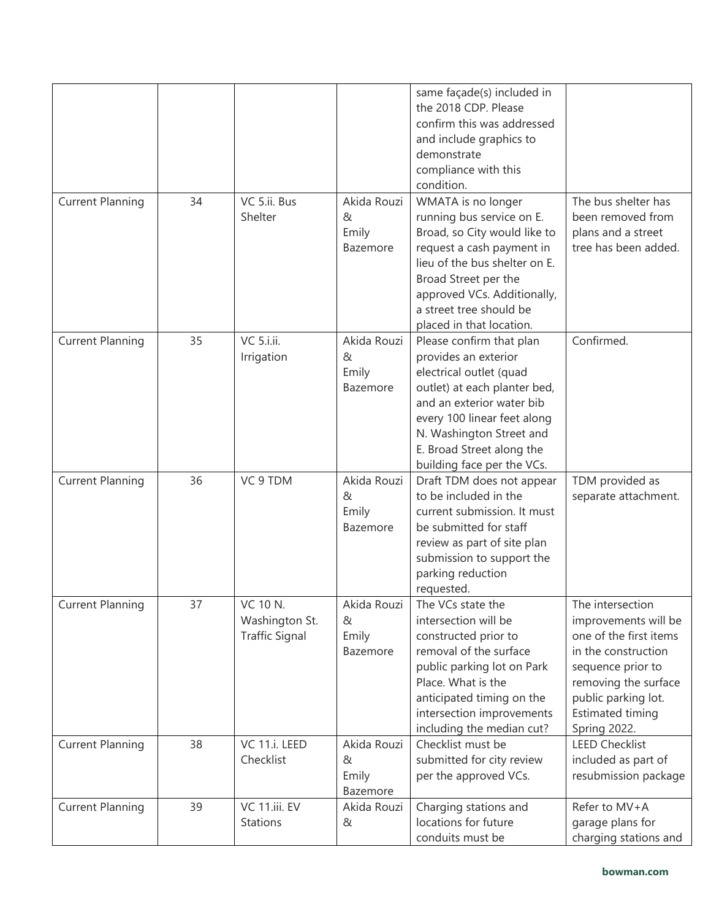|                         |    |                                                            |                                       | same façade(s) included in<br>the 2018 CDP. Please<br>confirm this was addressed<br>and include graphics to<br>demonstrate<br>compliance with this<br>condition.                                                                                               |                                                                                                                                                                                                   |
|-------------------------|----|------------------------------------------------------------|---------------------------------------|----------------------------------------------------------------------------------------------------------------------------------------------------------------------------------------------------------------------------------------------------------------|---------------------------------------------------------------------------------------------------------------------------------------------------------------------------------------------------|
| <b>Current Planning</b> | 34 | VC 5.ii. Bus<br>Shelter                                    | Akida Rouzi<br>&<br>Emily<br>Bazemore | WMATA is no longer<br>running bus service on E.<br>Broad, so City would like to<br>request a cash payment in<br>lieu of the bus shelter on E.<br>Broad Street per the<br>approved VCs. Additionally,<br>a street tree should be<br>placed in that location.    | The bus shelter has<br>been removed from<br>plans and a street<br>tree has been added.                                                                                                            |
| <b>Current Planning</b> | 35 | VC 5.i.ii.<br>Irrigation                                   | Akida Rouzi<br>&<br>Emily<br>Bazemore | Please confirm that plan<br>provides an exterior<br>electrical outlet (quad<br>outlet) at each planter bed,<br>and an exterior water bib<br>every 100 linear feet along<br>N. Washington Street and<br>E. Broad Street along the<br>building face per the VCs. | Confirmed.                                                                                                                                                                                        |
| <b>Current Planning</b> | 36 | VC 9 TDM                                                   | Akida Rouzi<br>&<br>Emily<br>Bazemore | Draft TDM does not appear<br>to be included in the<br>current submission. It must<br>be submitted for staff<br>review as part of site plan<br>submission to support the<br>parking reduction<br>requested.                                                     | TDM provided as<br>separate attachment.                                                                                                                                                           |
| <b>Current Planning</b> | 37 | <b>VC 10 N.</b><br>Washington St.<br><b>Traffic Signal</b> | Akida Rouzi<br>&<br>Emily<br>Bazemore | The VCs state the<br>intersection will be<br>constructed prior to<br>removal of the surface<br>public parking lot on Park<br>Place. What is the<br>anticipated timing on the<br>intersection improvements<br>including the median cut?                         | The intersection<br>improvements will be<br>one of the first items<br>in the construction<br>sequence prior to<br>removing the surface<br>public parking lot.<br>Estimated timing<br>Spring 2022. |
| <b>Current Planning</b> | 38 | VC 11.i. LEED<br>Checklist                                 | Akida Rouzi<br>&<br>Emily<br>Bazemore | Checklist must be<br>submitted for city review<br>per the approved VCs.                                                                                                                                                                                        | <b>LEED Checklist</b><br>included as part of<br>resubmission package                                                                                                                              |
| <b>Current Planning</b> | 39 | VC 11.iii. EV<br>Stations                                  | Akida Rouzi<br>&                      | Charging stations and<br>locations for future<br>conduits must be                                                                                                                                                                                              | Refer to MV+A<br>garage plans for<br>charging stations and                                                                                                                                        |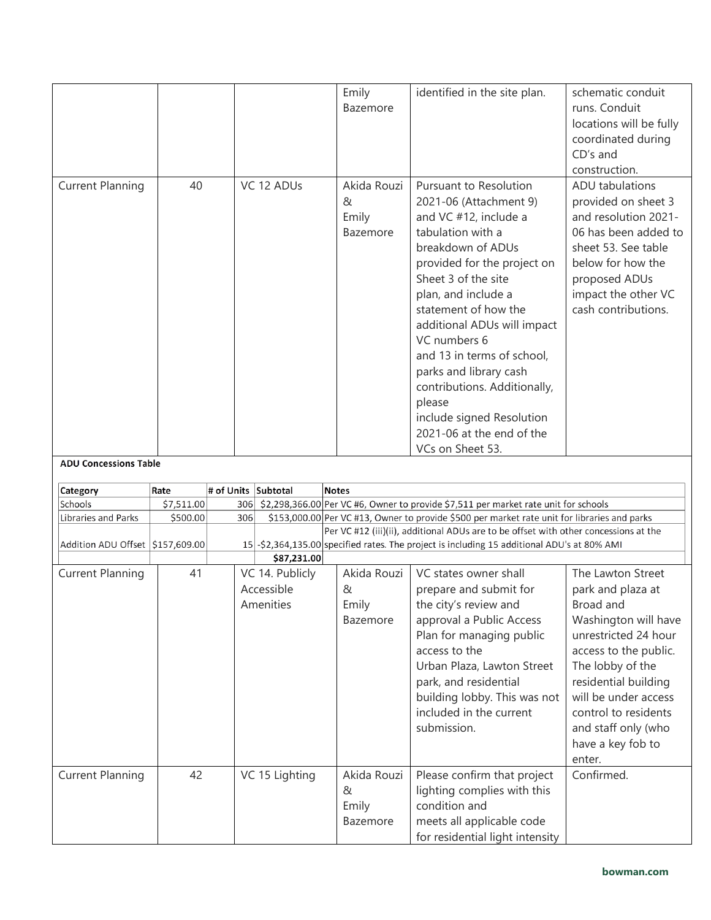| construction.<br><b>Current Planning</b><br>40<br>VC 12 ADUs<br>Akida Rouzi<br>Pursuant to Resolution<br>2021-06 (Attachment 9)<br>&<br>Emily<br>and VC #12, include a<br>tabulation with a<br>Bazemore<br>breakdown of ADUs<br>provided for the project on<br>Sheet 3 of the site<br>plan, and include a<br>statement of how the<br>additional ADUs will impact<br>VC numbers 6<br>and 13 in terms of school, | <b>ADU</b> tabulations<br>provided on sheet 3<br>and resolution 2021-<br>06 has been added to                                     |
|----------------------------------------------------------------------------------------------------------------------------------------------------------------------------------------------------------------------------------------------------------------------------------------------------------------------------------------------------------------------------------------------------------------|-----------------------------------------------------------------------------------------------------------------------------------|
| contributions. Additionally,<br>please<br>include signed Resolution<br>2021-06 at the end of the<br>VCs on Sheet 53.                                                                                                                                                                                                                                                                                           | sheet 53. See table<br>below for how the<br>proposed ADUs<br>impact the other VC<br>cash contributions.<br>parks and library cash |
| <b>ADU Concessions Table</b>                                                                                                                                                                                                                                                                                                                                                                                   |                                                                                                                                   |
| # of Units Subtotal<br>Rate<br><b>Notes</b><br>Category                                                                                                                                                                                                                                                                                                                                                        |                                                                                                                                   |
| Schools<br>\$7,511.00<br>306 \$2,298,366.00 Per VC #6, Owner to provide \$7,511 per market rate unit for schools                                                                                                                                                                                                                                                                                               |                                                                                                                                   |
| Libraries and Parks<br>\$500.00<br>306                                                                                                                                                                                                                                                                                                                                                                         |                                                                                                                                   |
|                                                                                                                                                                                                                                                                                                                                                                                                                | \$153,000.00 Per VC #13, Owner to provide \$500 per market rate unit for libraries and parks                                      |
|                                                                                                                                                                                                                                                                                                                                                                                                                | Per VC #12 (iii)(ii), additional ADUs are to be offset with other concessions at the                                              |
| Addition ADU Offset \$157,609.00                                                                                                                                                                                                                                                                                                                                                                               | 15 - \$2,364,135.00 specified rates. The project is including 15 additional ADU's at 80% AMI                                      |
| \$87,231.00                                                                                                                                                                                                                                                                                                                                                                                                    |                                                                                                                                   |
| <b>Current Planning</b><br>Akida Rouzi<br>41<br>VC 14. Publicly<br>VC states owner shall                                                                                                                                                                                                                                                                                                                       | The Lawton Street                                                                                                                 |
| Accessible<br>&<br>prepare and submit for                                                                                                                                                                                                                                                                                                                                                                      | park and plaza at                                                                                                                 |
| Emily<br>the city's review and<br>Broad and<br>Amenities                                                                                                                                                                                                                                                                                                                                                       |                                                                                                                                   |
| approval a Public Access<br>Bazemore                                                                                                                                                                                                                                                                                                                                                                           | Washington will have                                                                                                              |
| Plan for managing public                                                                                                                                                                                                                                                                                                                                                                                       | unrestricted 24 hour                                                                                                              |
| access to the                                                                                                                                                                                                                                                                                                                                                                                                  | access to the public.                                                                                                             |
| Urban Plaza, Lawton Street                                                                                                                                                                                                                                                                                                                                                                                     | The lobby of the                                                                                                                  |
| park, and residential                                                                                                                                                                                                                                                                                                                                                                                          | residential building                                                                                                              |
| building lobby. This was not                                                                                                                                                                                                                                                                                                                                                                                   | will be under access                                                                                                              |
| included in the current                                                                                                                                                                                                                                                                                                                                                                                        | control to residents                                                                                                              |
| submission.                                                                                                                                                                                                                                                                                                                                                                                                    | and staff only (who                                                                                                               |
|                                                                                                                                                                                                                                                                                                                                                                                                                | have a key fob to                                                                                                                 |
| enter.                                                                                                                                                                                                                                                                                                                                                                                                         |                                                                                                                                   |
| Confirmed.<br>42<br>VC 15 Lighting<br>Akida Rouzi<br>Please confirm that project<br><b>Current Planning</b>                                                                                                                                                                                                                                                                                                    |                                                                                                                                   |
| &<br>lighting complies with this                                                                                                                                                                                                                                                                                                                                                                               |                                                                                                                                   |
| condition and<br>Emily<br>meets all applicable code<br>Bazemore                                                                                                                                                                                                                                                                                                                                                |                                                                                                                                   |
|                                                                                                                                                                                                                                                                                                                                                                                                                |                                                                                                                                   |
|                                                                                                                                                                                                                                                                                                                                                                                                                |                                                                                                                                   |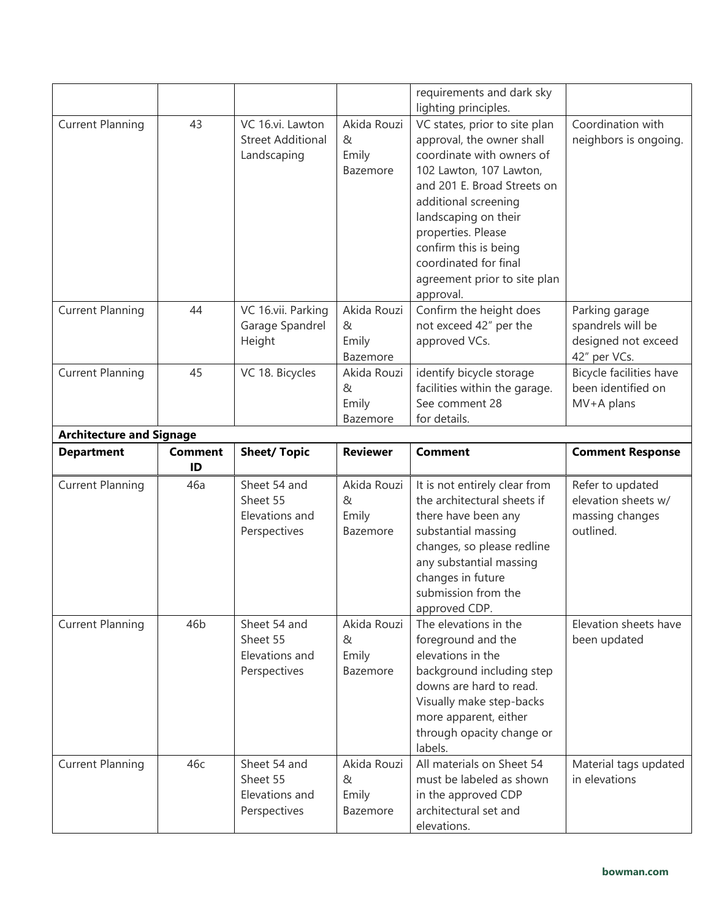|                                                      |                 |                                                             |                                       | requirements and dark sky<br>lighting principles.                                                                                                                                                                                                                                                                      |                                                                            |
|------------------------------------------------------|-----------------|-------------------------------------------------------------|---------------------------------------|------------------------------------------------------------------------------------------------------------------------------------------------------------------------------------------------------------------------------------------------------------------------------------------------------------------------|----------------------------------------------------------------------------|
| <b>Current Planning</b>                              | 43              | VC 16.vi. Lawton<br><b>Street Additional</b><br>Landscaping | Akida Rouzi<br>&<br>Emily<br>Bazemore | VC states, prior to site plan<br>approval, the owner shall<br>coordinate with owners of<br>102 Lawton, 107 Lawton,<br>and 201 E. Broad Streets on<br>additional screening<br>landscaping on their<br>properties. Please<br>confirm this is being<br>coordinated for final<br>agreement prior to site plan<br>approval. | Coordination with<br>neighbors is ongoing.                                 |
| <b>Current Planning</b>                              | 44              | VC 16.vii. Parking<br>Garage Spandrel<br>Height             | Akida Rouzi<br>&<br>Emily<br>Bazemore | Confirm the height does<br>not exceed 42" per the<br>approved VCs.                                                                                                                                                                                                                                                     | Parking garage<br>spandrels will be<br>designed not exceed<br>42" per VCs. |
| <b>Current Planning</b>                              | 45              | VC 18. Bicycles                                             | Akida Rouzi<br>&<br>Emily<br>Bazemore | identify bicycle storage<br>facilities within the garage.<br>See comment 28<br>for details.                                                                                                                                                                                                                            | Bicycle facilities have<br>been identified on<br>MV+A plans                |
| <b>Architecture and Signage</b><br><b>Department</b> | <b>Comment</b>  | <b>Sheet/ Topic</b>                                         | <b>Reviewer</b>                       | <b>Comment</b>                                                                                                                                                                                                                                                                                                         | <b>Comment Response</b>                                                    |
|                                                      |                 |                                                             |                                       |                                                                                                                                                                                                                                                                                                                        |                                                                            |
| <b>Current Planning</b>                              | ID<br>46a       | Sheet 54 and<br>Sheet 55<br>Elevations and<br>Perspectives  | Akida Rouzi<br>&<br>Emily<br>Bazemore | It is not entirely clear from<br>the architectural sheets if<br>there have been any<br>substantial massing<br>changes, so please redline<br>any substantial massing<br>changes in future<br>submission from the<br>approved CDP.                                                                                       | Refer to updated<br>elevation sheets w/<br>massing changes<br>outlined.    |
| <b>Current Planning</b>                              | 46 <sub>b</sub> | Sheet 54 and<br>Sheet 55<br>Elevations and<br>Perspectives  | Akida Rouzi<br>&<br>Emily<br>Bazemore | The elevations in the<br>foreground and the<br>elevations in the<br>background including step<br>downs are hard to read.<br>Visually make step-backs<br>more apparent, either<br>through opacity change or<br>labels.                                                                                                  | Elevation sheets have<br>been updated                                      |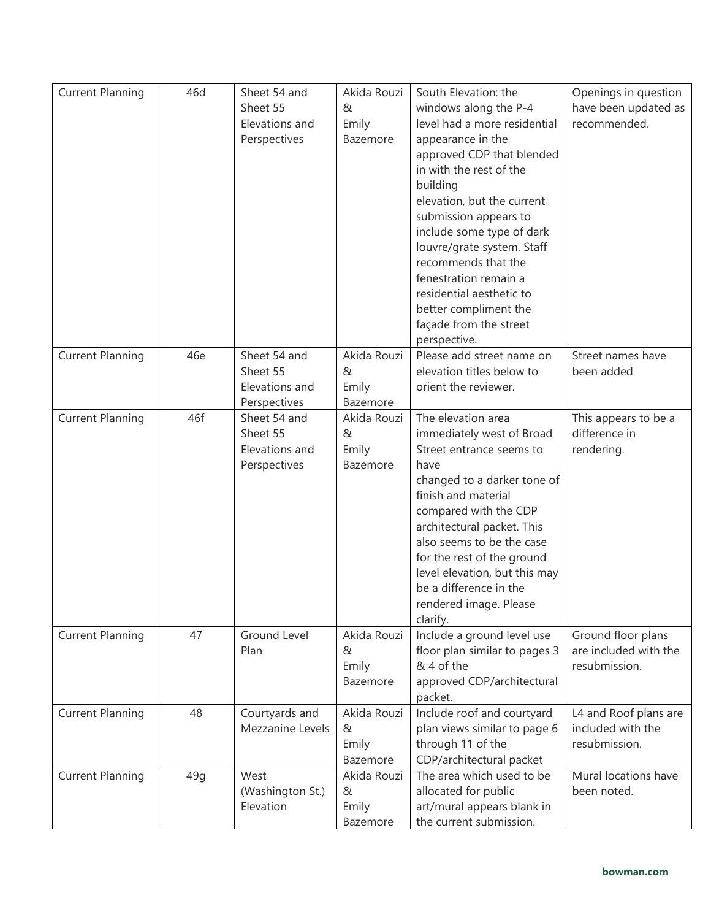| <b>Current Planning</b> | 46d | Sheet 54 and                 | Akida Rouzi       | South Elevation: the                              | Openings in question  |
|-------------------------|-----|------------------------------|-------------------|---------------------------------------------------|-----------------------|
|                         |     | Sheet 55                     | &                 | windows along the P-4                             | have been updated as  |
|                         |     | Elevations and               | Emily             | level had a more residential                      | recommended.          |
|                         |     | Perspectives                 | Bazemore          | appearance in the                                 |                       |
|                         |     |                              |                   | approved CDP that blended                         |                       |
|                         |     |                              |                   | in with the rest of the                           |                       |
|                         |     |                              |                   | building                                          |                       |
|                         |     |                              |                   | elevation, but the current                        |                       |
|                         |     |                              |                   | submission appears to                             |                       |
|                         |     |                              |                   | include some type of dark                         |                       |
|                         |     |                              |                   | louvre/grate system. Staff                        |                       |
|                         |     |                              |                   | recommends that the                               |                       |
|                         |     |                              |                   | fenestration remain a                             |                       |
|                         |     |                              |                   | residential aesthetic to                          |                       |
|                         |     |                              |                   | better compliment the                             |                       |
|                         |     |                              |                   | façade from the street                            |                       |
|                         |     |                              |                   | perspective.                                      |                       |
| <b>Current Planning</b> | 46e | Sheet 54 and                 | Akida Rouzi       | Please add street name on                         | Street names have     |
|                         |     | Sheet 55<br>Elevations and   | &                 | elevation titles below to<br>orient the reviewer. | been added            |
|                         |     |                              | Emily<br>Bazemore |                                                   |                       |
| <b>Current Planning</b> | 46f | Perspectives<br>Sheet 54 and | Akida Rouzi       | The elevation area                                | This appears to be a  |
|                         |     | Sheet 55                     | &                 | immediately west of Broad                         | difference in         |
|                         |     | Elevations and               | Emily             | Street entrance seems to                          | rendering.            |
|                         |     | Perspectives                 | Bazemore          | have                                              |                       |
|                         |     |                              |                   | changed to a darker tone of                       |                       |
|                         |     |                              |                   | finish and material                               |                       |
|                         |     |                              |                   | compared with the CDP                             |                       |
|                         |     |                              |                   | architectural packet. This                        |                       |
|                         |     |                              |                   | also seems to be the case                         |                       |
|                         |     |                              |                   | for the rest of the ground                        |                       |
|                         |     |                              |                   | level elevation, but this may                     |                       |
|                         |     |                              |                   | be a difference in the                            |                       |
|                         |     |                              |                   | rendered image. Please                            |                       |
|                         |     |                              |                   | clarify.                                          |                       |
| <b>Current Planning</b> | 47  | <b>Ground Level</b>          | Akida Rouzi       | Include a ground level use                        | Ground floor plans    |
|                         |     | Plan                         | &                 | floor plan similar to pages 3                     | are included with the |
|                         |     |                              | Emily<br>Bazemore | & 4 of the                                        | resubmission.         |
|                         |     |                              |                   | approved CDP/architectural<br>packet.             |                       |
| <b>Current Planning</b> | 48  | Courtyards and               | Akida Rouzi       | Include roof and courtyard                        | L4 and Roof plans are |
|                         |     | Mezzanine Levels             | &                 | plan views similar to page 6                      | included with the     |
|                         |     |                              | Emily             | through 11 of the                                 | resubmission.         |
|                         |     |                              | Bazemore          | CDP/architectural packet                          |                       |
| <b>Current Planning</b> | 49q | West                         | Akida Rouzi       | The area which used to be                         | Mural locations have  |
|                         |     | (Washington St.)             | &                 | allocated for public                              | been noted.           |
|                         |     | Elevation                    | Emily             | art/mural appears blank in                        |                       |
|                         |     |                              | Bazemore          | the current submission.                           |                       |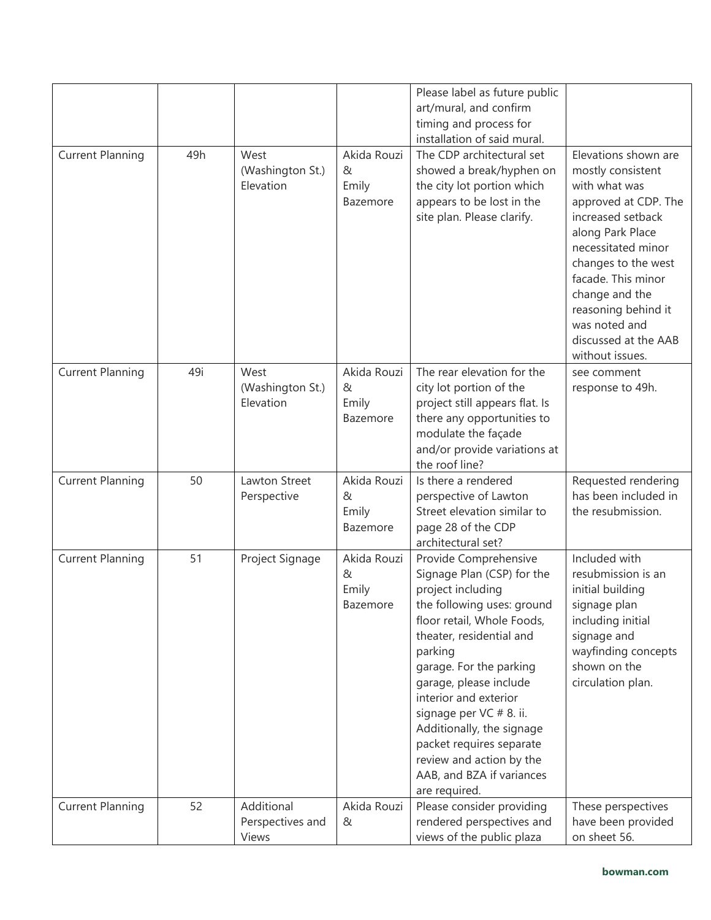|                         |     |                                         |                                       | Please label as future public<br>art/mural, and confirm<br>timing and process for<br>installation of said mural.                                                                                                                                                                                                                                                                                                        |                                                                                                                                                                                                                                                                                                     |
|-------------------------|-----|-----------------------------------------|---------------------------------------|-------------------------------------------------------------------------------------------------------------------------------------------------------------------------------------------------------------------------------------------------------------------------------------------------------------------------------------------------------------------------------------------------------------------------|-----------------------------------------------------------------------------------------------------------------------------------------------------------------------------------------------------------------------------------------------------------------------------------------------------|
| <b>Current Planning</b> | 49h | West<br>(Washington St.)<br>Elevation   | Akida Rouzi<br>&<br>Emily<br>Bazemore | The CDP architectural set<br>showed a break/hyphen on<br>the city lot portion which<br>appears to be lost in the<br>site plan. Please clarify.                                                                                                                                                                                                                                                                          | Elevations shown are<br>mostly consistent<br>with what was<br>approved at CDP. The<br>increased setback<br>along Park Place<br>necessitated minor<br>changes to the west<br>facade. This minor<br>change and the<br>reasoning behind it<br>was noted and<br>discussed at the AAB<br>without issues. |
| <b>Current Planning</b> | 49i | West<br>(Washington St.)<br>Elevation   | Akida Rouzi<br>&<br>Emily<br>Bazemore | The rear elevation for the<br>city lot portion of the<br>project still appears flat. Is<br>there any opportunities to<br>modulate the façade<br>and/or provide variations at<br>the roof line?                                                                                                                                                                                                                          | see comment<br>response to 49h.                                                                                                                                                                                                                                                                     |
| <b>Current Planning</b> | 50  | Lawton Street<br>Perspective            | Akida Rouzi<br>&<br>Emily<br>Bazemore | Is there a rendered<br>perspective of Lawton<br>Street elevation similar to<br>page 28 of the CDP<br>architectural set?                                                                                                                                                                                                                                                                                                 | Requested rendering<br>has been included in<br>the resubmission.                                                                                                                                                                                                                                    |
| <b>Current Planning</b> | 51  | Project Signage                         | Akida Rouzi<br>&<br>Emily<br>Bazemore | Provide Comprehensive<br>Signage Plan (CSP) for the<br>project including<br>the following uses: ground<br>floor retail, Whole Foods,<br>theater, residential and<br>parking<br>garage. For the parking<br>garage, please include<br>interior and exterior<br>signage per VC # 8. ii.<br>Additionally, the signage<br>packet requires separate<br>review and action by the<br>AAB, and BZA if variances<br>are required. | Included with<br>resubmission is an<br>initial building<br>signage plan<br>including initial<br>signage and<br>wayfinding concepts<br>shown on the<br>circulation plan.                                                                                                                             |
| <b>Current Planning</b> | 52  | Additional<br>Perspectives and<br>Views | Akida Rouzi<br>&                      | Please consider providing<br>rendered perspectives and<br>views of the public plaza                                                                                                                                                                                                                                                                                                                                     | These perspectives<br>have been provided<br>on sheet 56.                                                                                                                                                                                                                                            |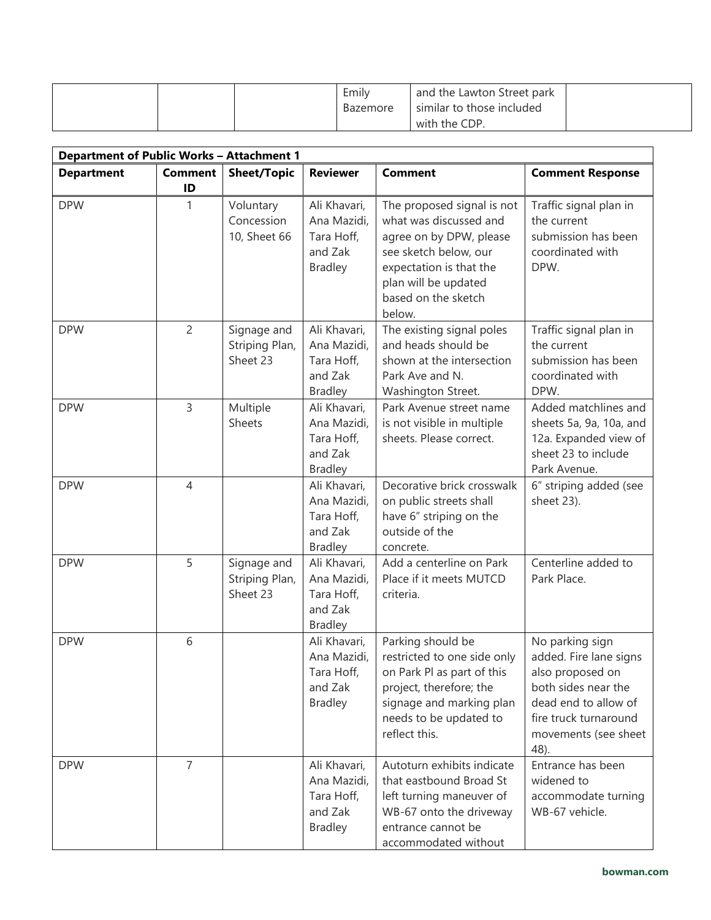|  | Emily<br>Bazemore | and the Lawton Street park<br>similar to those included |  |
|--|-------------------|---------------------------------------------------------|--|
|  |                   | with the CDP.                                           |  |

| <b>Department of Public Works - Attachment 1</b> |                      |                                           |                                                                        |                                                                                                                                                                                              |                                                                                                                                                                       |
|--------------------------------------------------|----------------------|-------------------------------------------|------------------------------------------------------------------------|----------------------------------------------------------------------------------------------------------------------------------------------------------------------------------------------|-----------------------------------------------------------------------------------------------------------------------------------------------------------------------|
| <b>Department</b>                                | <b>Comment</b><br>ID | <b>Sheet/Topic</b>                        | <b>Reviewer</b>                                                        | <b>Comment</b>                                                                                                                                                                               | <b>Comment Response</b>                                                                                                                                               |
| <b>DPW</b>                                       | 1                    | Voluntary<br>Concession<br>10, Sheet 66   | Ali Khavari,<br>Ana Mazidi,<br>Tara Hoff,<br>and Zak<br><b>Bradley</b> | The proposed signal is not<br>what was discussed and<br>agree on by DPW, please<br>see sketch below, our<br>expectation is that the<br>plan will be updated<br>based on the sketch<br>below. | Traffic signal plan in<br>the current<br>submission has been<br>coordinated with<br>DPW.                                                                              |
| <b>DPW</b>                                       | $\overline{c}$       | Signage and<br>Striping Plan,<br>Sheet 23 | Ali Khavari,<br>Ana Mazidi,<br>Tara Hoff,<br>and Zak<br><b>Bradley</b> | The existing signal poles<br>and heads should be<br>shown at the intersection<br>Park Ave and N.<br>Washington Street.                                                                       | Traffic signal plan in<br>the current<br>submission has been<br>coordinated with<br>DPW.                                                                              |
| <b>DPW</b>                                       | 3                    | Multiple<br>Sheets                        | Ali Khavari,<br>Ana Mazidi,<br>Tara Hoff,<br>and Zak<br><b>Bradley</b> | Park Avenue street name<br>is not visible in multiple<br>sheets. Please correct.                                                                                                             | Added matchlines and<br>sheets 5a, 9a, 10a, and<br>12a. Expanded view of<br>sheet 23 to include<br>Park Avenue.                                                       |
| <b>DPW</b>                                       | $\overline{4}$       |                                           | Ali Khavari,<br>Ana Mazidi,<br>Tara Hoff,<br>and Zak<br><b>Bradley</b> | Decorative brick crosswalk<br>on public streets shall<br>have 6" striping on the<br>outside of the<br>concrete.                                                                              | 6" striping added (see<br>sheet 23).                                                                                                                                  |
| <b>DPW</b>                                       | 5                    | Signage and<br>Striping Plan,<br>Sheet 23 | Ali Khavari,<br>Ana Mazidi,<br>Tara Hoff,<br>and Zak<br><b>Bradley</b> | Add a centerline on Park<br>Place if it meets MUTCD<br>criteria.                                                                                                                             | Centerline added to<br>Park Place.                                                                                                                                    |
| <b>DPW</b>                                       | 6                    |                                           | Ali Khavari,<br>Ana Mazidi,<br>Tara Hoff,<br>and Zak<br><b>Bradley</b> | Parking should be<br>restricted to one side only<br>on Park Pl as part of this<br>project, therefore; the<br>signage and marking plan<br>needs to be updated to<br>reflect this.             | No parking sign<br>added. Fire lane signs<br>also proposed on<br>both sides near the<br>dead end to allow of<br>fire truck turnaround<br>movements (see sheet<br>48). |
| <b>DPW</b>                                       | $\overline{7}$       |                                           | Ali Khavari,<br>Ana Mazidi,<br>Tara Hoff,<br>and Zak<br><b>Bradley</b> | Autoturn exhibits indicate<br>that eastbound Broad St<br>left turning maneuver of<br>WB-67 onto the driveway<br>entrance cannot be<br>accommodated without                                   | Entrance has been<br>widened to<br>accommodate turning<br>WB-67 vehicle.                                                                                              |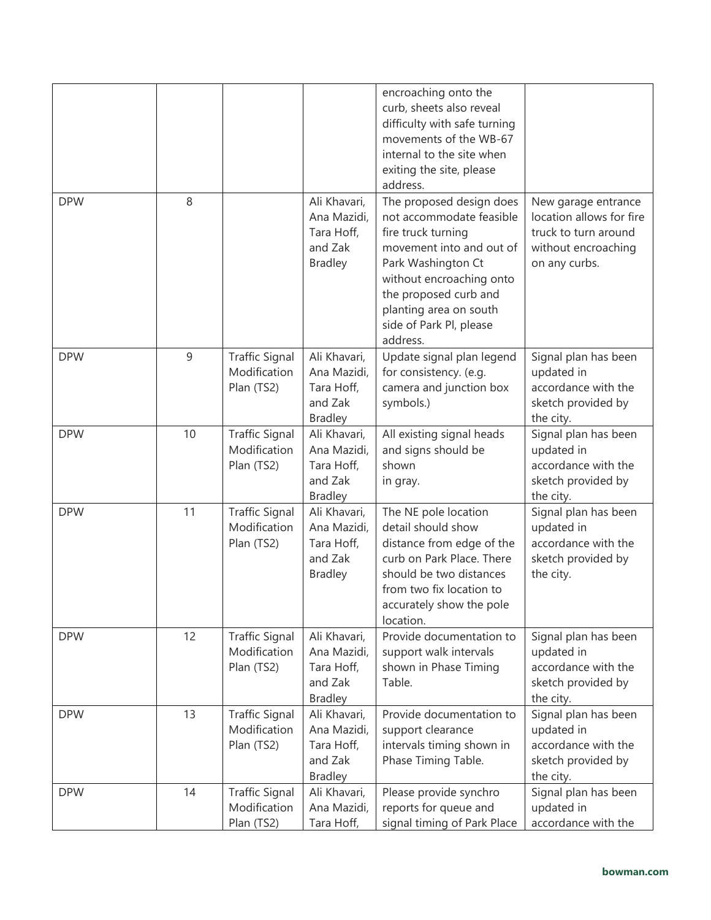| <b>DPW</b> | 8  |                                                     | Ali Khavari,                                                           | encroaching onto the<br>curb, sheets also reveal<br>difficulty with safe turning<br>movements of the WB-67<br>internal to the site when<br>exiting the site, please<br>address.<br>The proposed design does            | New garage entrance                                                                          |
|------------|----|-----------------------------------------------------|------------------------------------------------------------------------|------------------------------------------------------------------------------------------------------------------------------------------------------------------------------------------------------------------------|----------------------------------------------------------------------------------------------|
|            |    |                                                     | Ana Mazidi,<br>Tara Hoff,<br>and Zak<br><b>Bradley</b>                 | not accommodate feasible<br>fire truck turning<br>movement into and out of<br>Park Washington Ct<br>without encroaching onto<br>the proposed curb and<br>planting area on south<br>side of Park Pl, please<br>address. | location allows for fire<br>truck to turn around<br>without encroaching<br>on any curbs.     |
| <b>DPW</b> | 9  | <b>Traffic Signal</b><br>Modification<br>Plan (TS2) | Ali Khavari,<br>Ana Mazidi,<br>Tara Hoff,<br>and Zak<br><b>Bradley</b> | Update signal plan legend<br>for consistency. (e.g.<br>camera and junction box<br>symbols.)                                                                                                                            | Signal plan has been<br>updated in<br>accordance with the<br>sketch provided by<br>the city. |
| <b>DPW</b> | 10 | <b>Traffic Signal</b><br>Modification<br>Plan (TS2) | Ali Khavari,<br>Ana Mazidi,<br>Tara Hoff,<br>and Zak<br><b>Bradley</b> | All existing signal heads<br>and signs should be<br>shown<br>in gray.                                                                                                                                                  | Signal plan has been<br>updated in<br>accordance with the<br>sketch provided by<br>the city. |
| <b>DPW</b> | 11 | <b>Traffic Signal</b><br>Modification<br>Plan (TS2) | Ali Khavari,<br>Ana Mazidi,<br>Tara Hoff,<br>and Zak<br><b>Bradley</b> | The NE pole location<br>detail should show<br>distance from edge of the<br>curb on Park Place. There<br>should be two distances<br>from two fix location to<br>accurately show the pole<br>location.                   | Signal plan has been<br>updated in<br>accordance with the<br>sketch provided by<br>the city. |
| <b>DPW</b> | 12 | <b>Traffic Signal</b><br>Modification<br>Plan (TS2) | Ali Khavari,<br>Ana Mazidi,<br>Tara Hoff,<br>and Zak<br><b>Bradley</b> | Provide documentation to<br>support walk intervals<br>shown in Phase Timing<br>Table.                                                                                                                                  | Signal plan has been<br>updated in<br>accordance with the<br>sketch provided by<br>the city. |
| <b>DPW</b> | 13 | <b>Traffic Signal</b><br>Modification<br>Plan (TS2) | Ali Khavari,<br>Ana Mazidi,<br>Tara Hoff,<br>and Zak<br><b>Bradley</b> | Provide documentation to<br>support clearance<br>intervals timing shown in<br>Phase Timing Table.                                                                                                                      | Signal plan has been<br>updated in<br>accordance with the<br>sketch provided by<br>the city. |
| <b>DPW</b> | 14 | <b>Traffic Signal</b><br>Modification<br>Plan (TS2) | Ali Khavari,<br>Ana Mazidi,<br>Tara Hoff,                              | Please provide synchro<br>reports for queue and<br>signal timing of Park Place                                                                                                                                         | Signal plan has been<br>updated in<br>accordance with the                                    |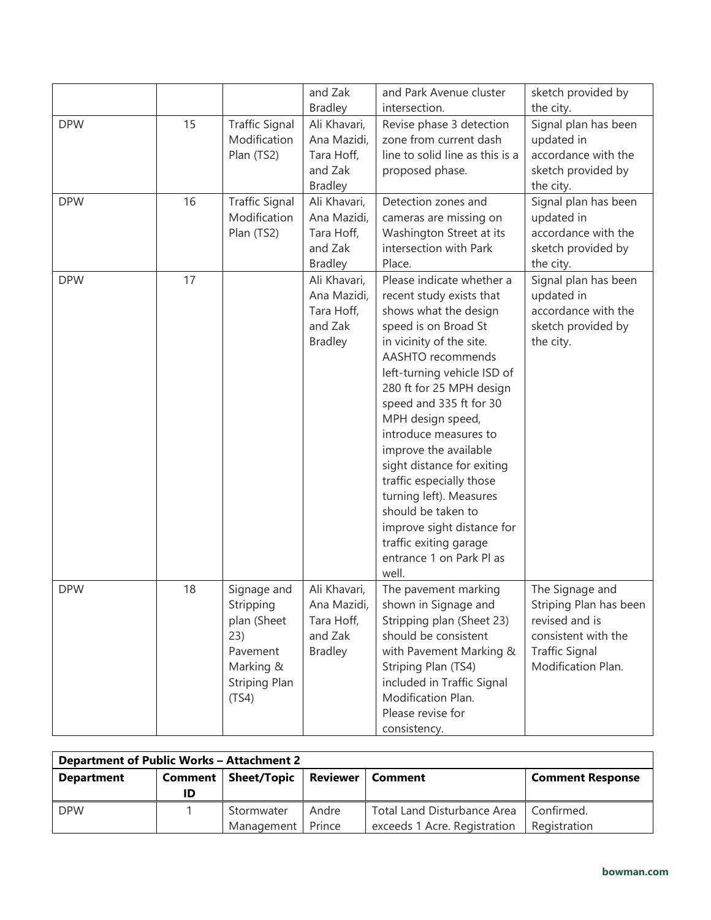|            |    |                                                                                                   | and Zak<br><b>Bradley</b>                                              | and Park Avenue cluster<br>intersection.                                                                                                                                                                                                                                                                                                                                                                                                                                                                                     | sketch provided by<br>the city.                                                                                                   |
|------------|----|---------------------------------------------------------------------------------------------------|------------------------------------------------------------------------|------------------------------------------------------------------------------------------------------------------------------------------------------------------------------------------------------------------------------------------------------------------------------------------------------------------------------------------------------------------------------------------------------------------------------------------------------------------------------------------------------------------------------|-----------------------------------------------------------------------------------------------------------------------------------|
| <b>DPW</b> | 15 | <b>Traffic Signal</b><br>Modification<br>Plan (TS2)                                               | Ali Khavari,<br>Ana Mazidi,<br>Tara Hoff,<br>and Zak<br><b>Bradley</b> | Revise phase 3 detection<br>zone from current dash<br>line to solid line as this is a<br>proposed phase.                                                                                                                                                                                                                                                                                                                                                                                                                     | Signal plan has been<br>updated in<br>accordance with the<br>sketch provided by<br>the city.                                      |
| <b>DPW</b> | 16 | <b>Traffic Signal</b><br>Modification<br>Plan (TS2)                                               | Ali Khavari,<br>Ana Mazidi,<br>Tara Hoff,<br>and Zak<br><b>Bradley</b> | Detection zones and<br>cameras are missing on<br>Washington Street at its<br>intersection with Park<br>Place.                                                                                                                                                                                                                                                                                                                                                                                                                | Signal plan has been<br>updated in<br>accordance with the<br>sketch provided by<br>the city.                                      |
| <b>DPW</b> | 17 |                                                                                                   | Ali Khavari,<br>Ana Mazidi,<br>Tara Hoff,<br>and Zak<br><b>Bradley</b> | Please indicate whether a<br>recent study exists that<br>shows what the design<br>speed is on Broad St<br>in vicinity of the site.<br>AASHTO recommends<br>left-turning vehicle ISD of<br>280 ft for 25 MPH design<br>speed and 335 ft for 30<br>MPH design speed,<br>introduce measures to<br>improve the available<br>sight distance for exiting<br>traffic especially those<br>turning left). Measures<br>should be taken to<br>improve sight distance for<br>traffic exiting garage<br>entrance 1 on Park Pl as<br>well. | Signal plan has been<br>updated in<br>accordance with the<br>sketch provided by<br>the city.                                      |
| <b>DPW</b> | 18 | Signage and<br>Stripping<br>plan (Sheet<br>23)<br>Pavement<br>Marking &<br>Striping Plan<br>(TS4) | Ali Khavari,<br>Ana Mazidi,<br>Tara Hoff,<br>and Zak<br><b>Bradley</b> | The pavement marking<br>shown in Signage and<br>Stripping plan (Sheet 23)<br>should be consistent<br>with Pavement Marking &<br>Striping Plan (TS4)<br>included in Traffic Signal<br>Modification Plan.<br>Please revise for<br>consistency.                                                                                                                                                                                                                                                                                 | The Signage and<br>Striping Plan has been<br>revised and is<br>consistent with the<br><b>Traffic Signal</b><br>Modification Plan. |

| <b>Department of Public Works - Attachment 2</b> |    |                          |                 |                                                             |                            |
|--------------------------------------------------|----|--------------------------|-----------------|-------------------------------------------------------------|----------------------------|
| <b>Department</b>                                | ID | Comment   Sheet/Topic    |                 | <b>Reviewer   Comment</b>                                   | <b>Comment Response</b>    |
| <b>DPW</b>                                       |    | Stormwater<br>Management | Andre<br>Prince | Total Land Disturbance Area<br>exceeds 1 Acre. Registration | Confirmed.<br>Registration |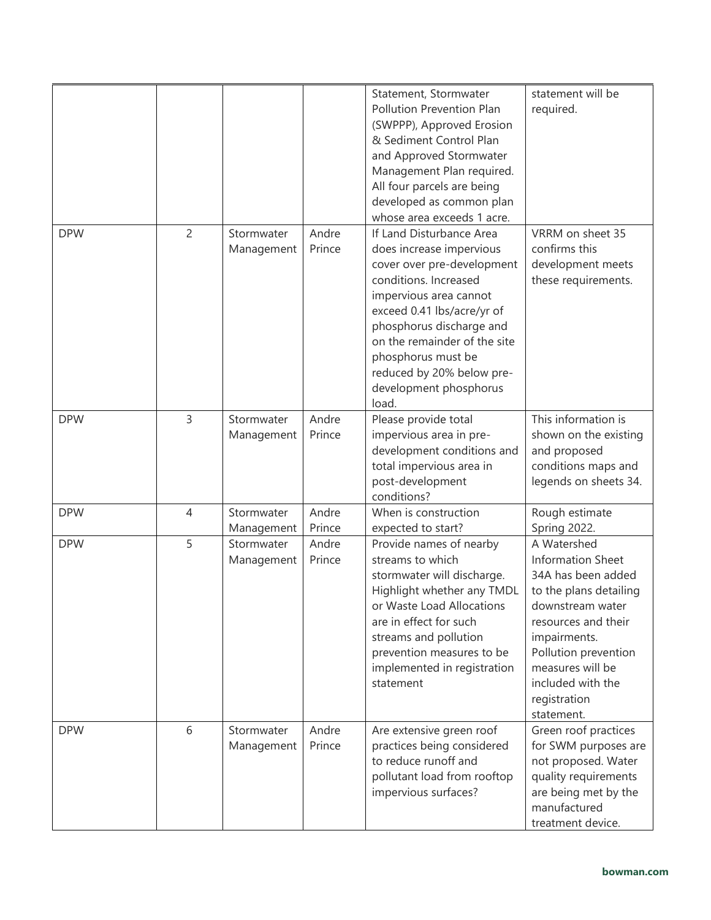|            |                |                          |                 | Statement, Stormwater<br>Pollution Prevention Plan<br>(SWPPP), Approved Erosion<br>& Sediment Control Plan<br>and Approved Stormwater<br>Management Plan required.<br>All four parcels are being<br>developed as common plan<br>whose area exceeds 1 acre.                                                            | statement will be<br>required.                                                                                                                                                                                                                    |
|------------|----------------|--------------------------|-----------------|-----------------------------------------------------------------------------------------------------------------------------------------------------------------------------------------------------------------------------------------------------------------------------------------------------------------------|---------------------------------------------------------------------------------------------------------------------------------------------------------------------------------------------------------------------------------------------------|
| <b>DPW</b> | $\overline{2}$ | Stormwater<br>Management | Andre<br>Prince | If Land Disturbance Area<br>does increase impervious<br>cover over pre-development<br>conditions. Increased<br>impervious area cannot<br>exceed 0.41 lbs/acre/yr of<br>phosphorus discharge and<br>on the remainder of the site<br>phosphorus must be<br>reduced by 20% below pre-<br>development phosphorus<br>load. | VRRM on sheet 35<br>confirms this<br>development meets<br>these requirements.                                                                                                                                                                     |
| <b>DPW</b> | 3              | Stormwater<br>Management | Andre<br>Prince | Please provide total<br>impervious area in pre-<br>development conditions and<br>total impervious area in<br>post-development<br>conditions?                                                                                                                                                                          | This information is<br>shown on the existing<br>and proposed<br>conditions maps and<br>legends on sheets 34.                                                                                                                                      |
| <b>DPW</b> | $\overline{4}$ | Stormwater<br>Management | Andre<br>Prince | When is construction<br>expected to start?                                                                                                                                                                                                                                                                            | Rough estimate<br>Spring 2022.                                                                                                                                                                                                                    |
| <b>DPW</b> | 5              | Stormwater<br>Management | Andre<br>Prince | Provide names of nearby<br>streams to which<br>stormwater will discharge.<br>Highlight whether any TMDL<br>or Waste Load Allocations<br>are in effect for such<br>streams and pollution<br>prevention measures to be<br>implemented in registration<br>statement                                                      | A Watershed<br><b>Information Sheet</b><br>34A has been added<br>to the plans detailing<br>downstream water<br>resources and their<br>impairments.<br>Pollution prevention<br>measures will be<br>included with the<br>registration<br>statement. |
| <b>DPW</b> | 6              | Stormwater<br>Management | Andre<br>Prince | Are extensive green roof<br>practices being considered<br>to reduce runoff and<br>pollutant load from rooftop<br>impervious surfaces?                                                                                                                                                                                 | Green roof practices<br>for SWM purposes are<br>not proposed. Water<br>quality requirements<br>are being met by the<br>manufactured<br>treatment device.                                                                                          |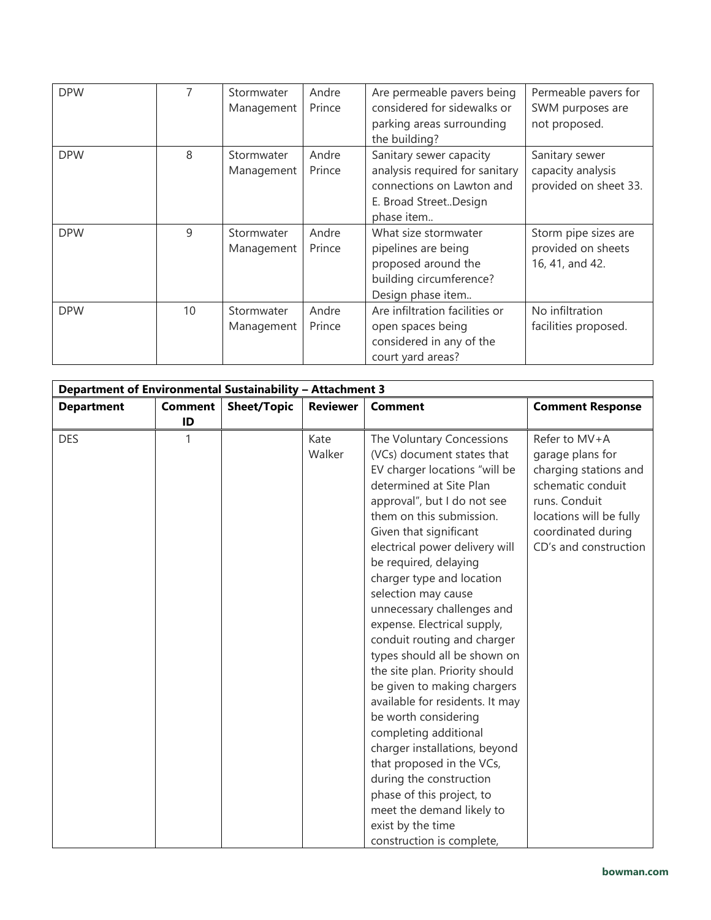| <b>DPW</b> |    | Stormwater<br>Management | Andre<br>Prince | Are permeable pavers being<br>considered for sidewalks or<br>parking areas surrounding<br>the building?                       | Permeable pavers for<br>SWM purposes are<br>not proposed.     |
|------------|----|--------------------------|-----------------|-------------------------------------------------------------------------------------------------------------------------------|---------------------------------------------------------------|
| <b>DPW</b> | 8  | Stormwater<br>Management | Andre<br>Prince | Sanitary sewer capacity<br>analysis required for sanitary<br>connections on Lawton and<br>E. Broad StreetDesign<br>phase item | Sanitary sewer<br>capacity analysis<br>provided on sheet 33.  |
| <b>DPW</b> | 9  | Stormwater<br>Management | Andre<br>Prince | What size stormwater<br>pipelines are being<br>proposed around the<br>building circumference?<br>Design phase item            | Storm pipe sizes are<br>provided on sheets<br>16, 41, and 42. |
| <b>DPW</b> | 10 | Stormwater<br>Management | Andre<br>Prince | Are infiltration facilities or<br>open spaces being<br>considered in any of the<br>court yard areas?                          | No infiltration<br>facilities proposed.                       |

| Department of Environmental Sustainability - Attachment 3 |                |                    |                 |                                                                                                                                                                                                                                                                                                                                                                                                                                                                                                                                                                                                                                                                                                                                                                                                               |                                                                                                                                                                            |
|-----------------------------------------------------------|----------------|--------------------|-----------------|---------------------------------------------------------------------------------------------------------------------------------------------------------------------------------------------------------------------------------------------------------------------------------------------------------------------------------------------------------------------------------------------------------------------------------------------------------------------------------------------------------------------------------------------------------------------------------------------------------------------------------------------------------------------------------------------------------------------------------------------------------------------------------------------------------------|----------------------------------------------------------------------------------------------------------------------------------------------------------------------------|
| <b>Department</b>                                         | <b>Comment</b> | <b>Sheet/Topic</b> | <b>Reviewer</b> | <b>Comment</b>                                                                                                                                                                                                                                                                                                                                                                                                                                                                                                                                                                                                                                                                                                                                                                                                | <b>Comment Response</b>                                                                                                                                                    |
|                                                           | ID             |                    |                 |                                                                                                                                                                                                                                                                                                                                                                                                                                                                                                                                                                                                                                                                                                                                                                                                               |                                                                                                                                                                            |
| <b>DES</b>                                                |                |                    | Kate<br>Walker  | The Voluntary Concessions<br>(VCs) document states that<br>EV charger locations "will be<br>determined at Site Plan<br>approval", but I do not see<br>them on this submission.<br>Given that significant<br>electrical power delivery will<br>be required, delaying<br>charger type and location<br>selection may cause<br>unnecessary challenges and<br>expense. Electrical supply,<br>conduit routing and charger<br>types should all be shown on<br>the site plan. Priority should<br>be given to making chargers<br>available for residents. It may<br>be worth considering<br>completing additional<br>charger installations, beyond<br>that proposed in the VCs,<br>during the construction<br>phase of this project, to<br>meet the demand likely to<br>exist by the time<br>construction is complete, | Refer to MV+A<br>garage plans for<br>charging stations and<br>schematic conduit<br>runs. Conduit<br>locations will be fully<br>coordinated during<br>CD's and construction |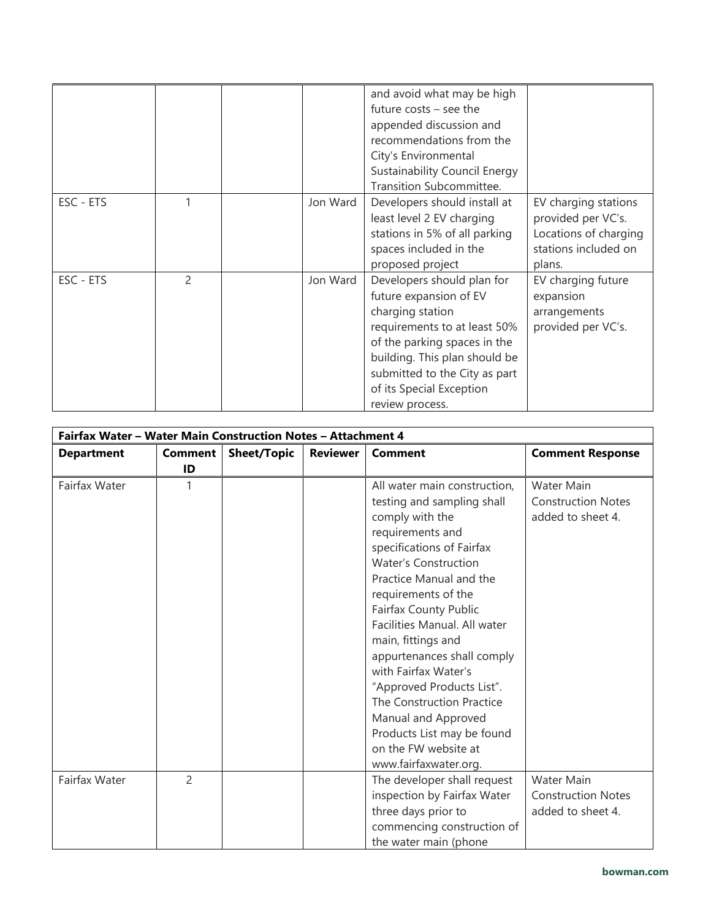|           |                |          | and avoid what may be high<br>future $costs - see$ the<br>appended discussion and<br>recommendations from the<br>City's Environmental<br><b>Sustainability Council Energy</b><br>Transition Subcommittee.                                                 |                                                                                                       |
|-----------|----------------|----------|-----------------------------------------------------------------------------------------------------------------------------------------------------------------------------------------------------------------------------------------------------------|-------------------------------------------------------------------------------------------------------|
| ESC - ETS |                | Jon Ward | Developers should install at<br>least level 2 EV charging<br>stations in 5% of all parking<br>spaces included in the<br>proposed project                                                                                                                  | EV charging stations<br>provided per VC's.<br>Locations of charging<br>stations included on<br>plans. |
| ESC - ETS | $\mathfrak{p}$ | Jon Ward | Developers should plan for<br>future expansion of EV<br>charging station<br>requirements to at least 50%<br>of the parking spaces in the<br>building. This plan should be<br>submitted to the City as part<br>of its Special Exception<br>review process. | EV charging future<br>expansion<br>arrangements<br>provided per VC's.                                 |

| Fairfax Water - Water Main Construction Notes - Attachment 4 |                |                    |                 |                                                                                                                                                                                                                                                                                                                                                                                                                                                                                             |                                                                     |
|--------------------------------------------------------------|----------------|--------------------|-----------------|---------------------------------------------------------------------------------------------------------------------------------------------------------------------------------------------------------------------------------------------------------------------------------------------------------------------------------------------------------------------------------------------------------------------------------------------------------------------------------------------|---------------------------------------------------------------------|
| <b>Department</b>                                            | <b>Comment</b> | <b>Sheet/Topic</b> | <b>Reviewer</b> | <b>Comment</b>                                                                                                                                                                                                                                                                                                                                                                                                                                                                              | <b>Comment Response</b>                                             |
|                                                              | ID             |                    |                 |                                                                                                                                                                                                                                                                                                                                                                                                                                                                                             |                                                                     |
| Fairfax Water                                                | 1              |                    |                 | All water main construction,<br>testing and sampling shall<br>comply with the<br>requirements and<br>specifications of Fairfax<br><b>Water's Construction</b><br>Practice Manual and the<br>requirements of the<br>Fairfax County Public<br>Facilities Manual. All water<br>main, fittings and<br>appurtenances shall comply<br>with Fairfax Water's<br>"Approved Products List".<br>The Construction Practice<br>Manual and Approved<br>Products List may be found<br>on the FW website at | <b>Water Main</b><br><b>Construction Notes</b><br>added to sheet 4. |
| Fairfax Water                                                | $\overline{2}$ |                    |                 | www.fairfaxwater.org.<br>The developer shall request<br>inspection by Fairfax Water<br>three days prior to                                                                                                                                                                                                                                                                                                                                                                                  | <b>Water Main</b><br><b>Construction Notes</b><br>added to sheet 4. |
|                                                              |                |                    |                 | commencing construction of<br>the water main (phone                                                                                                                                                                                                                                                                                                                                                                                                                                         |                                                                     |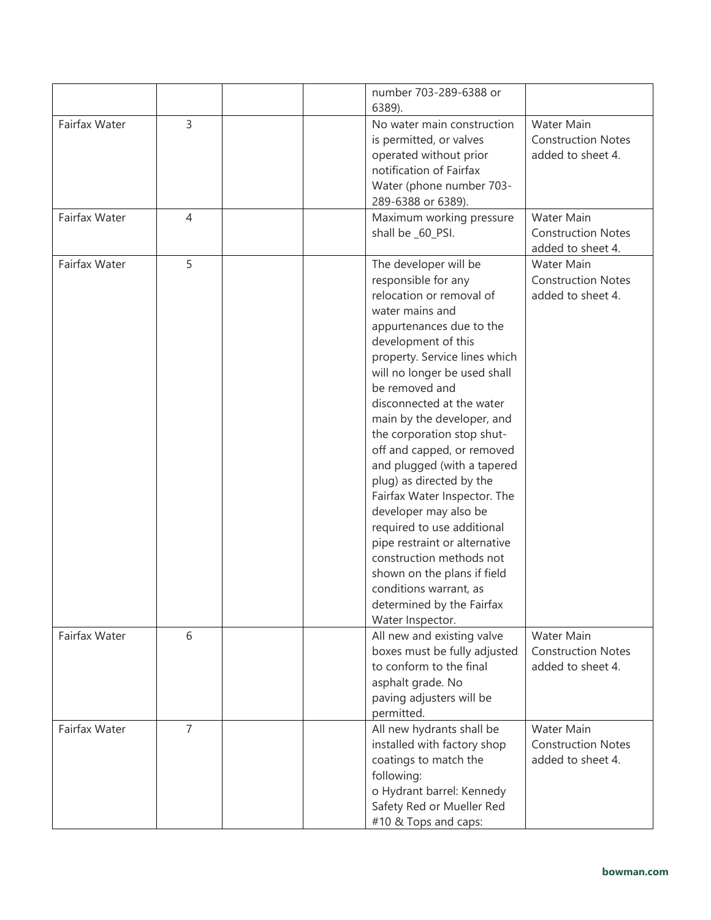|               |                | number 703-289-6388 or<br>6389).                                                                                                                                                                                                                                                                                                                                                                                                                                                                                                                                                                                                                                                  |                                                                     |
|---------------|----------------|-----------------------------------------------------------------------------------------------------------------------------------------------------------------------------------------------------------------------------------------------------------------------------------------------------------------------------------------------------------------------------------------------------------------------------------------------------------------------------------------------------------------------------------------------------------------------------------------------------------------------------------------------------------------------------------|---------------------------------------------------------------------|
| Fairfax Water | 3              | No water main construction<br>is permitted, or valves<br>operated without prior<br>notification of Fairfax<br>Water (phone number 703-<br>289-6388 or 6389).                                                                                                                                                                                                                                                                                                                                                                                                                                                                                                                      | Water Main<br><b>Construction Notes</b><br>added to sheet 4.        |
| Fairfax Water | $\overline{4}$ | Maximum working pressure<br>shall be _60_PSI.                                                                                                                                                                                                                                                                                                                                                                                                                                                                                                                                                                                                                                     | <b>Water Main</b><br><b>Construction Notes</b><br>added to sheet 4. |
| Fairfax Water | 5              | The developer will be<br>responsible for any<br>relocation or removal of<br>water mains and<br>appurtenances due to the<br>development of this<br>property. Service lines which<br>will no longer be used shall<br>be removed and<br>disconnected at the water<br>main by the developer, and<br>the corporation stop shut-<br>off and capped, or removed<br>and plugged (with a tapered<br>plug) as directed by the<br>Fairfax Water Inspector. The<br>developer may also be<br>required to use additional<br>pipe restraint or alternative<br>construction methods not<br>shown on the plans if field<br>conditions warrant, as<br>determined by the Fairfax<br>Water Inspector. | Water Main<br><b>Construction Notes</b><br>added to sheet 4.        |
| Fairfax Water | 6              | All new and existing valve<br>boxes must be fully adjusted<br>to conform to the final<br>asphalt grade. No<br>paving adjusters will be<br>permitted.                                                                                                                                                                                                                                                                                                                                                                                                                                                                                                                              | <b>Water Main</b><br><b>Construction Notes</b><br>added to sheet 4. |
| Fairfax Water | $\overline{7}$ | All new hydrants shall be<br>installed with factory shop<br>coatings to match the<br>following:<br>o Hydrant barrel: Kennedy<br>Safety Red or Mueller Red<br>#10 & Tops and caps:                                                                                                                                                                                                                                                                                                                                                                                                                                                                                                 | Water Main<br><b>Construction Notes</b><br>added to sheet 4.        |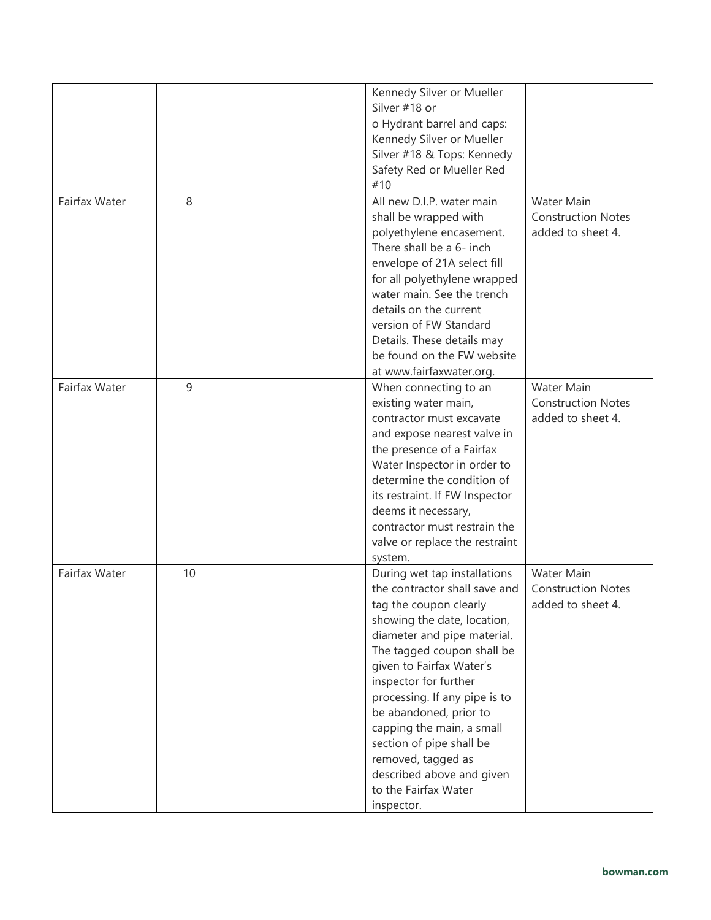|               |    |  | Kennedy Silver or Mueller<br>Silver #18 or<br>o Hydrant barrel and caps:<br>Kennedy Silver or Mueller<br>Silver #18 & Tops: Kennedy<br>Safety Red or Mueller Red<br>#10                                                                                                                                                                                                                                                                               |                                                              |
|---------------|----|--|-------------------------------------------------------------------------------------------------------------------------------------------------------------------------------------------------------------------------------------------------------------------------------------------------------------------------------------------------------------------------------------------------------------------------------------------------------|--------------------------------------------------------------|
| Fairfax Water | 8  |  | All new D.I.P. water main<br>shall be wrapped with<br>polyethylene encasement.<br>There shall be a 6- inch<br>envelope of 21A select fill<br>for all polyethylene wrapped<br>water main. See the trench<br>details on the current<br>version of FW Standard<br>Details. These details may<br>be found on the FW website<br>at www.fairfaxwater.org.                                                                                                   | Water Main<br><b>Construction Notes</b><br>added to sheet 4. |
| Fairfax Water | 9  |  | When connecting to an<br>existing water main,<br>contractor must excavate<br>and expose nearest valve in<br>the presence of a Fairfax<br>Water Inspector in order to<br>determine the condition of<br>its restraint. If FW Inspector<br>deems it necessary,<br>contractor must restrain the<br>valve or replace the restraint<br>system.                                                                                                              | Water Main<br><b>Construction Notes</b><br>added to sheet 4. |
| Fairfax Water | 10 |  | During wet tap installations<br>the contractor shall save and<br>tag the coupon clearly<br>showing the date, location,<br>diameter and pipe material.<br>The tagged coupon shall be<br>given to Fairfax Water's<br>inspector for further<br>processing. If any pipe is to<br>be abandoned, prior to<br>capping the main, a small<br>section of pipe shall be<br>removed, tagged as<br>described above and given<br>to the Fairfax Water<br>inspector. | Water Main<br><b>Construction Notes</b><br>added to sheet 4. |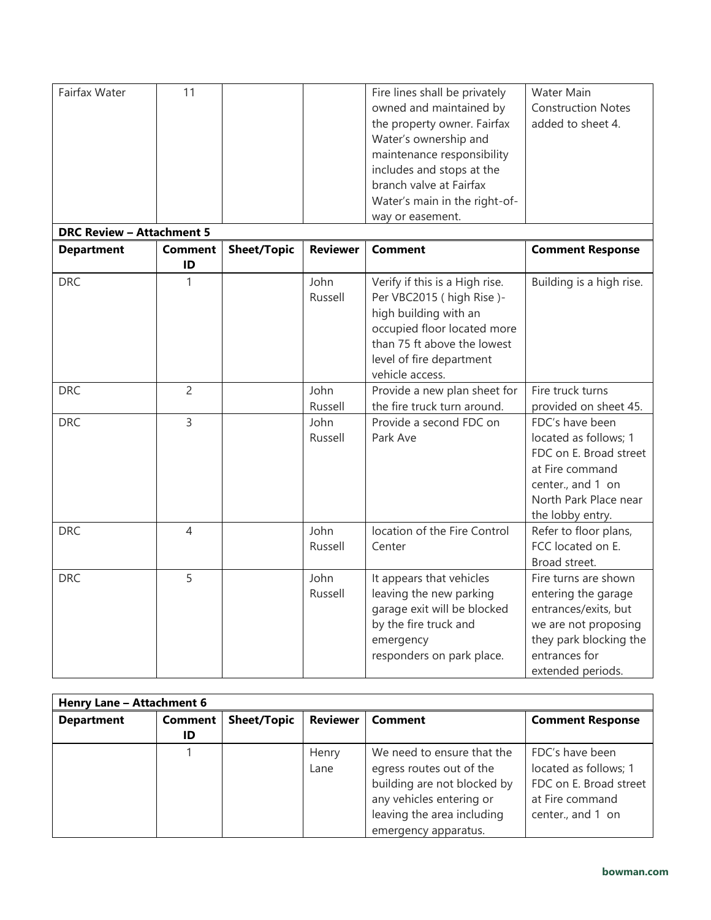| Fairfax Water<br><b>DRC Review - Attachment 5</b> | 11             |                    |                 | Fire lines shall be privately<br>owned and maintained by<br>the property owner. Fairfax<br>Water's ownership and<br>maintenance responsibility<br>includes and stops at the<br>branch valve at Fairfax<br>Water's main in the right-of-<br>way or easement. | Water Main<br><b>Construction Notes</b><br>added to sheet 4.                                                                                                |
|---------------------------------------------------|----------------|--------------------|-----------------|-------------------------------------------------------------------------------------------------------------------------------------------------------------------------------------------------------------------------------------------------------------|-------------------------------------------------------------------------------------------------------------------------------------------------------------|
| <b>Department</b>                                 | <b>Comment</b> | <b>Sheet/Topic</b> | <b>Reviewer</b> | Comment                                                                                                                                                                                                                                                     | <b>Comment Response</b>                                                                                                                                     |
|                                                   | ID             |                    |                 |                                                                                                                                                                                                                                                             |                                                                                                                                                             |
| <b>DRC</b>                                        | 1              |                    | John<br>Russell | Verify if this is a High rise.<br>Per VBC2015 (high Rise)-<br>high building with an<br>occupied floor located more<br>than 75 ft above the lowest<br>level of fire department<br>vehicle access.                                                            | Building is a high rise.                                                                                                                                    |
| <b>DRC</b>                                        | $\overline{c}$ |                    | John<br>Russell | Provide a new plan sheet for<br>the fire truck turn around.                                                                                                                                                                                                 | Fire truck turns<br>provided on sheet 45.                                                                                                                   |
| <b>DRC</b>                                        | $\overline{3}$ |                    | John<br>Russell | Provide a second FDC on<br>Park Ave                                                                                                                                                                                                                         | FDC's have been<br>located as follows; 1<br>FDC on E. Broad street<br>at Fire command<br>center., and 1 on<br>North Park Place near<br>the lobby entry.     |
| <b>DRC</b>                                        | 4              |                    | John<br>Russell | location of the Fire Control<br>Center                                                                                                                                                                                                                      | Refer to floor plans,<br>FCC located on E.<br>Broad street.                                                                                                 |
| <b>DRC</b>                                        | 5              |                    | John<br>Russell | It appears that vehicles<br>leaving the new parking<br>garage exit will be blocked<br>by the fire truck and<br>emergency<br>responders on park place.                                                                                                       | Fire turns are shown<br>entering the garage<br>entrances/exits, but<br>we are not proposing<br>they park blocking the<br>entrances for<br>extended periods. |

| Henry Lane - Attachment 6 |         |                    |                 |                             |                         |  |
|---------------------------|---------|--------------------|-----------------|-----------------------------|-------------------------|--|
| <b>Department</b>         | Comment | <b>Sheet/Topic</b> | <b>Reviewer</b> | <b>Comment</b>              | <b>Comment Response</b> |  |
|                           | ID      |                    |                 |                             |                         |  |
|                           |         |                    | Henry           | We need to ensure that the  | FDC's have been         |  |
|                           |         |                    | Lane            | egress routes out of the    | located as follows; 1   |  |
|                           |         |                    |                 | building are not blocked by | FDC on E. Broad street  |  |
|                           |         |                    |                 | any vehicles entering or    | at Fire command         |  |
|                           |         |                    |                 | leaving the area including  | center., and 1 on       |  |
|                           |         |                    |                 | emergency apparatus.        |                         |  |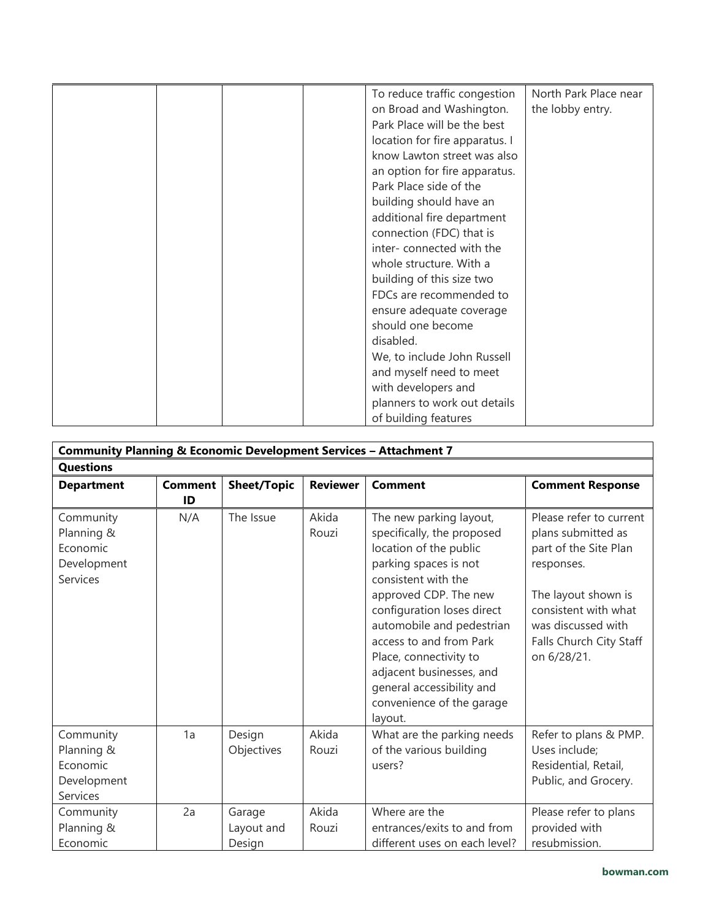|  | To reduce traffic congestion   | North Park Place near |
|--|--------------------------------|-----------------------|
|  | on Broad and Washington.       | the lobby entry.      |
|  | Park Place will be the best    |                       |
|  | location for fire apparatus. I |                       |
|  | know Lawton street was also    |                       |
|  | an option for fire apparatus.  |                       |
|  |                                |                       |
|  | Park Place side of the         |                       |
|  | building should have an        |                       |
|  | additional fire department     |                       |
|  | connection (FDC) that is       |                       |
|  | inter-connected with the       |                       |
|  | whole structure. With a        |                       |
|  | building of this size two      |                       |
|  | FDCs are recommended to        |                       |
|  | ensure adequate coverage       |                       |
|  | should one become              |                       |
|  | disabled.                      |                       |
|  | We, to include John Russell    |                       |
|  | and myself need to meet        |                       |
|  | with developers and            |                       |
|  | planners to work out details   |                       |
|  | of building features           |                       |

| <b>Community Planning &amp; Economic Development Services - Attachment 7</b> |                |                    |                 |                               |                         |
|------------------------------------------------------------------------------|----------------|--------------------|-----------------|-------------------------------|-------------------------|
| <b>Questions</b>                                                             |                |                    |                 |                               |                         |
| <b>Department</b>                                                            | <b>Comment</b> | <b>Sheet/Topic</b> | <b>Reviewer</b> | <b>Comment</b>                | <b>Comment Response</b> |
|                                                                              | ID             |                    |                 |                               |                         |
| Community                                                                    | N/A            | The Issue          | Akida           | The new parking layout,       | Please refer to current |
| Planning &                                                                   |                |                    | Rouzi           | specifically, the proposed    | plans submitted as      |
| Economic                                                                     |                |                    |                 | location of the public        | part of the Site Plan   |
| Development                                                                  |                |                    |                 | parking spaces is not         | responses.              |
| Services                                                                     |                |                    |                 | consistent with the           |                         |
|                                                                              |                |                    |                 | approved CDP. The new         | The layout shown is     |
|                                                                              |                |                    |                 | configuration loses direct    | consistent with what    |
|                                                                              |                |                    |                 | automobile and pedestrian     | was discussed with      |
|                                                                              |                |                    |                 | access to and from Park       | Falls Church City Staff |
|                                                                              |                |                    |                 | Place, connectivity to        | on 6/28/21.             |
|                                                                              |                |                    |                 | adjacent businesses, and      |                         |
|                                                                              |                |                    |                 | general accessibility and     |                         |
|                                                                              |                |                    |                 | convenience of the garage     |                         |
|                                                                              |                |                    |                 | layout.                       |                         |
| Community                                                                    | 1a             | Design             | Akida           | What are the parking needs    | Refer to plans & PMP.   |
| Planning &                                                                   |                | Objectives         | Rouzi           | of the various building       | Uses include;           |
| Economic                                                                     |                |                    |                 | users?                        | Residential, Retail,    |
| Development                                                                  |                |                    |                 |                               | Public, and Grocery.    |
| Services                                                                     |                |                    |                 |                               |                         |
| Community                                                                    | 2a             | Garage             | Akida           | Where are the                 | Please refer to plans   |
| Planning &                                                                   |                | Layout and         | Rouzi           | entrances/exits to and from   | provided with           |
| Economic                                                                     |                | Design             |                 | different uses on each level? | resubmission.           |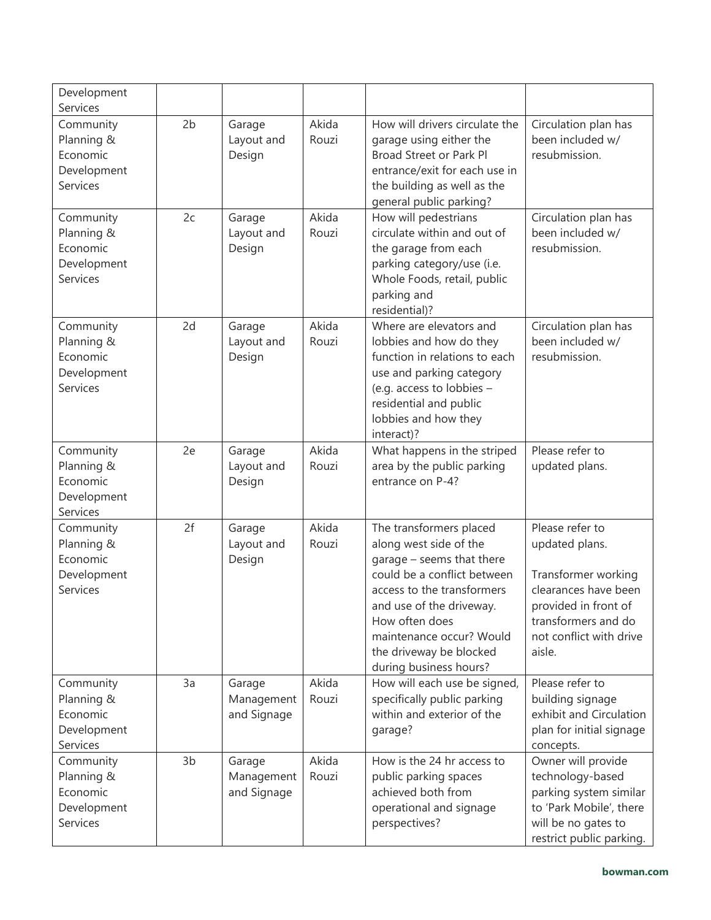| Development<br>Services                                        |                |                                     |                |                                                                                                                                                                                                                                                                            |                                                                                                                                                                      |
|----------------------------------------------------------------|----------------|-------------------------------------|----------------|----------------------------------------------------------------------------------------------------------------------------------------------------------------------------------------------------------------------------------------------------------------------------|----------------------------------------------------------------------------------------------------------------------------------------------------------------------|
| Community<br>Planning &<br>Economic<br>Development<br>Services | 2 <sub>b</sub> | Garage<br>Layout and<br>Design      | Akida<br>Rouzi | How will drivers circulate the<br>garage using either the<br>Broad Street or Park Pl<br>entrance/exit for each use in<br>the building as well as the<br>general public parking?                                                                                            | Circulation plan has<br>been included w/<br>resubmission.                                                                                                            |
| Community<br>Planning &<br>Economic<br>Development<br>Services | 2c             | Garage<br>Layout and<br>Design      | Akida<br>Rouzi | How will pedestrians<br>circulate within and out of<br>the garage from each<br>parking category/use (i.e.<br>Whole Foods, retail, public<br>parking and<br>residential)?                                                                                                   | Circulation plan has<br>been included w/<br>resubmission.                                                                                                            |
| Community<br>Planning &<br>Economic<br>Development<br>Services | 2d             | Garage<br>Layout and<br>Design      | Akida<br>Rouzi | Where are elevators and<br>lobbies and how do they<br>function in relations to each<br>use and parking category<br>(e.g. access to lobbies -<br>residential and public<br>lobbies and how they<br>interact)?                                                               | Circulation plan has<br>been included w/<br>resubmission.                                                                                                            |
| Community<br>Planning &<br>Economic<br>Development<br>Services | 2e             | Garage<br>Layout and<br>Design      | Akida<br>Rouzi | What happens in the striped<br>area by the public parking<br>entrance on P-4?                                                                                                                                                                                              | Please refer to<br>updated plans.                                                                                                                                    |
| Community<br>Planning &<br>Economic<br>Development<br>Services | 2f             | Garage<br>Layout and<br>Design      | Akida<br>Rouzi | The transformers placed<br>along west side of the<br>garage - seems that there<br>could be a conflict between<br>access to the transformers<br>and use of the driveway.<br>How often does<br>maintenance occur? Would<br>the driveway be blocked<br>during business hours? | Please refer to<br>updated plans.<br>Transformer working<br>clearances have been<br>provided in front of<br>transformers and do<br>not conflict with drive<br>aisle. |
| Community<br>Planning &<br>Economic<br>Development<br>Services | 3a             | Garage<br>Management<br>and Signage | Akida<br>Rouzi | How will each use be signed,<br>specifically public parking<br>within and exterior of the<br>garage?                                                                                                                                                                       | Please refer to<br>building signage<br>exhibit and Circulation<br>plan for initial signage<br>concepts.                                                              |
| Community<br>Planning &<br>Economic<br>Development<br>Services | 3 <sub>b</sub> | Garage<br>Management<br>and Signage | Akida<br>Rouzi | How is the 24 hr access to<br>public parking spaces<br>achieved both from<br>operational and signage<br>perspectives?                                                                                                                                                      | Owner will provide<br>technology-based<br>parking system similar<br>to 'Park Mobile', there<br>will be no gates to<br>restrict public parking.                       |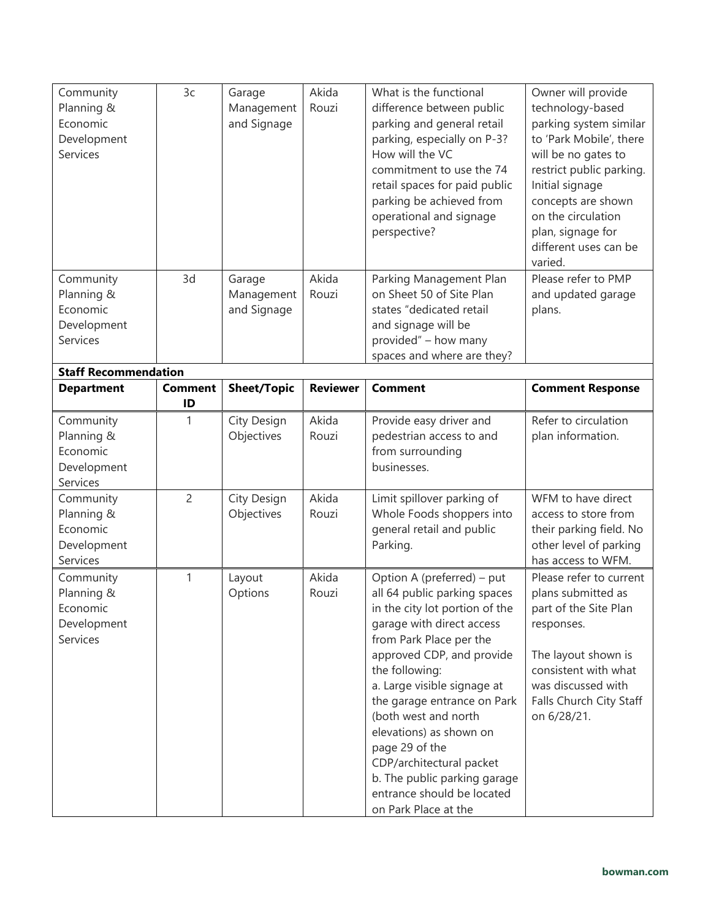| Community<br>Planning &<br>Economic<br>Development<br>Services | 3c                   | Garage<br>Management<br>and Signage | Akida<br>Rouzi  | What is the functional<br>difference between public<br>parking and general retail<br>parking, especially on P-3?<br>How will the VC<br>commitment to use the 74<br>retail spaces for paid public<br>parking be achieved from<br>operational and signage<br>perspective?                                                                                                                                                                                  | Owner will provide<br>technology-based<br>parking system similar<br>to 'Park Mobile', there<br>will be no gates to<br>restrict public parking.<br>Initial signage<br>concepts are shown<br>on the circulation<br>plan, signage for<br>different uses can be<br>varied. |
|----------------------------------------------------------------|----------------------|-------------------------------------|-----------------|----------------------------------------------------------------------------------------------------------------------------------------------------------------------------------------------------------------------------------------------------------------------------------------------------------------------------------------------------------------------------------------------------------------------------------------------------------|------------------------------------------------------------------------------------------------------------------------------------------------------------------------------------------------------------------------------------------------------------------------|
| Community<br>Planning &<br>Economic<br>Development<br>Services | 3d                   | Garage<br>Management<br>and Signage | Akida<br>Rouzi  | Parking Management Plan<br>on Sheet 50 of Site Plan<br>states "dedicated retail<br>and signage will be<br>provided" - how many<br>spaces and where are they?                                                                                                                                                                                                                                                                                             | Please refer to PMP<br>and updated garage<br>plans.                                                                                                                                                                                                                    |
| <b>Staff Recommendation</b><br><b>Department</b>               | <b>Comment</b><br>ID | <b>Sheet/Topic</b>                  | <b>Reviewer</b> | <b>Comment</b>                                                                                                                                                                                                                                                                                                                                                                                                                                           | <b>Comment Response</b>                                                                                                                                                                                                                                                |
| Community<br>Planning &<br>Economic<br>Development<br>Services | 1                    | City Design<br>Objectives           | Akida<br>Rouzi  | Provide easy driver and<br>pedestrian access to and<br>from surrounding<br>businesses.                                                                                                                                                                                                                                                                                                                                                                   | Refer to circulation<br>plan information.                                                                                                                                                                                                                              |
| Community<br>Planning &<br>Economic<br>Development<br>Services | $\overline{2}$       | City Design<br>Objectives           | Akida<br>Rouzi  | Limit spillover parking of<br>Whole Foods shoppers into<br>general retail and public<br>Parking.                                                                                                                                                                                                                                                                                                                                                         | WFM to have direct<br>access to store from<br>their parking field. No<br>other level of parking<br>has access to WFM.                                                                                                                                                  |
| Community<br>Planning &<br>Economic<br>Development<br>Services | 1                    | Layout<br>Options                   | Akida<br>Rouzi  | Option A (preferred) - put<br>all 64 public parking spaces<br>in the city lot portion of the<br>garage with direct access<br>from Park Place per the<br>approved CDP, and provide<br>the following:<br>a. Large visible signage at<br>the garage entrance on Park<br>(both west and north<br>elevations) as shown on<br>page 29 of the<br>CDP/architectural packet<br>b. The public parking garage<br>entrance should be located<br>on Park Place at the | Please refer to current<br>plans submitted as<br>part of the Site Plan<br>responses.<br>The layout shown is<br>consistent with what<br>was discussed with<br>Falls Church City Staff<br>on 6/28/21.                                                                    |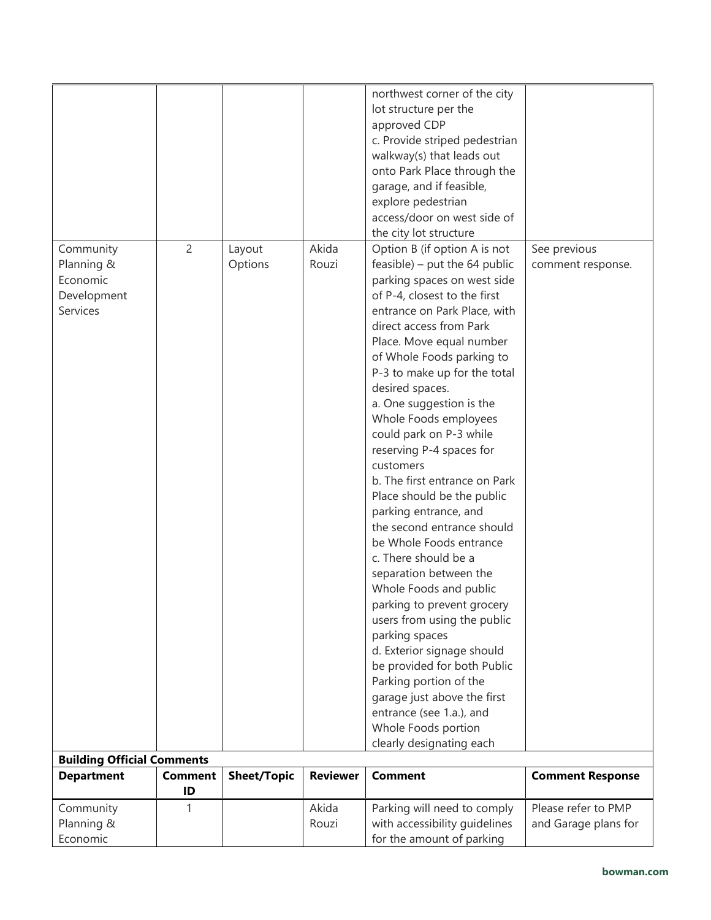| Planning &<br>Economic<br>Development |                      | Options            | Rouzi           | feasible) – put the $64$ public<br>parking spaces on west side<br>of P-4, closest to the first | comment response.       |
|---------------------------------------|----------------------|--------------------|-----------------|------------------------------------------------------------------------------------------------|-------------------------|
| <b>Services</b>                       |                      |                    |                 | entrance on Park Place, with<br>direct access from Park                                        |                         |
|                                       |                      |                    |                 | Place. Move equal number<br>of Whole Foods parking to<br>P-3 to make up for the total          |                         |
|                                       |                      |                    |                 | desired spaces.<br>a. One suggestion is the<br>Whole Foods employees                           |                         |
|                                       |                      |                    |                 | could park on P-3 while<br>reserving P-4 spaces for                                            |                         |
|                                       |                      |                    |                 | customers<br>b. The first entrance on Park<br>Place should be the public                       |                         |
|                                       |                      |                    |                 | parking entrance, and<br>the second entrance should                                            |                         |
|                                       |                      |                    |                 | be Whole Foods entrance<br>c. There should be a<br>separation between the                      |                         |
|                                       |                      |                    |                 | Whole Foods and public<br>parking to prevent grocery                                           |                         |
|                                       |                      |                    |                 | users from using the public                                                                    |                         |
|                                       |                      |                    |                 | parking spaces<br>d. Exterior signage should                                                   |                         |
|                                       |                      |                    |                 | be provided for both Public<br>Parking portion of the                                          |                         |
|                                       |                      |                    |                 | garage just above the first<br>entrance (see 1.a.), and                                        |                         |
|                                       |                      |                    |                 | Whole Foods portion<br>clearly designating each                                                |                         |
| <b>Building Official Comments</b>     |                      |                    |                 |                                                                                                |                         |
| <b>Department</b>                     | <b>Comment</b><br>ID | <b>Sheet/Topic</b> | <b>Reviewer</b> | <b>Comment</b>                                                                                 | <b>Comment Response</b> |
| Community                             | 1                    |                    | Akida           | Parking will need to comply                                                                    | Please refer to PMP     |
| Planning &<br>Economic                |                      |                    | Rouzi           | with accessibility guidelines<br>for the amount of parking                                     | and Garage plans for    |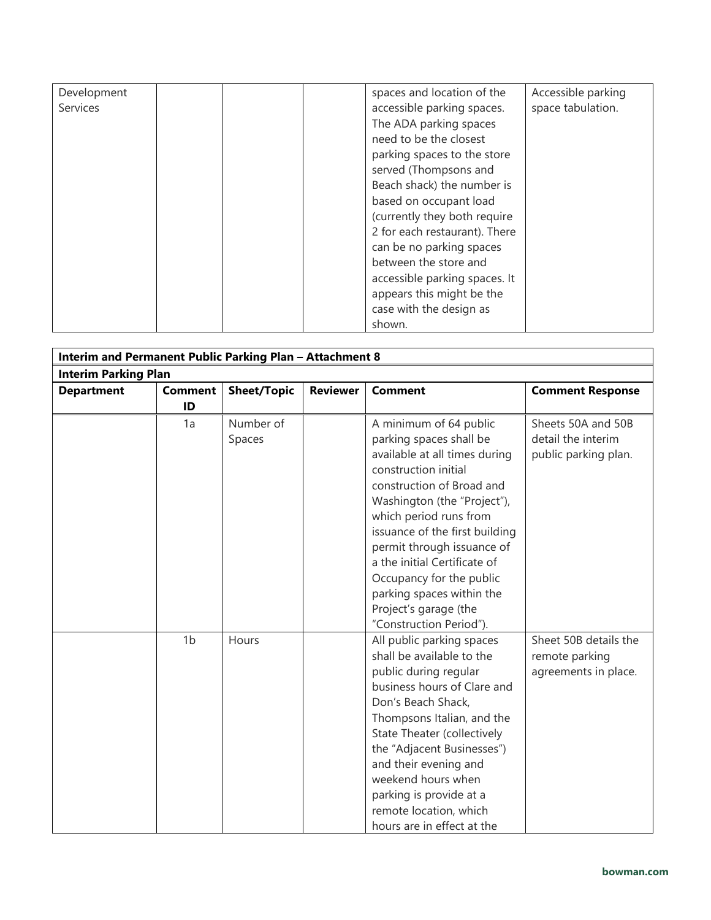| Development | spaces and location of the    | Accessible parking |
|-------------|-------------------------------|--------------------|
| Services    | accessible parking spaces.    | space tabulation.  |
|             | The ADA parking spaces        |                    |
|             | need to be the closest        |                    |
|             | parking spaces to the store   |                    |
|             | served (Thompsons and         |                    |
|             | Beach shack) the number is    |                    |
|             | based on occupant load        |                    |
|             | (currently they both require  |                    |
|             | 2 for each restaurant). There |                    |
|             | can be no parking spaces      |                    |
|             |                               |                    |
|             | between the store and         |                    |
|             | accessible parking spaces. It |                    |
|             | appears this might be the     |                    |
|             | case with the design as       |                    |
|             | shown.                        |                    |

| Interim and Permanent Public Parking Plan - Attachment 8 |                      |                     |                 |                                                                                                                                                                                                                                                                                                                                                                                                               |                                                                  |  |  |  |
|----------------------------------------------------------|----------------------|---------------------|-----------------|---------------------------------------------------------------------------------------------------------------------------------------------------------------------------------------------------------------------------------------------------------------------------------------------------------------------------------------------------------------------------------------------------------------|------------------------------------------------------------------|--|--|--|
| <b>Interim Parking Plan</b>                              |                      |                     |                 |                                                                                                                                                                                                                                                                                                                                                                                                               |                                                                  |  |  |  |
| <b>Department</b>                                        | <b>Comment</b><br>ID | <b>Sheet/Topic</b>  | <b>Reviewer</b> | <b>Comment</b>                                                                                                                                                                                                                                                                                                                                                                                                | <b>Comment Response</b>                                          |  |  |  |
|                                                          | 1a                   | Number of<br>Spaces |                 | A minimum of 64 public<br>parking spaces shall be<br>available at all times during<br>construction initial<br>construction of Broad and<br>Washington (the "Project"),<br>which period runs from<br>issuance of the first building<br>permit through issuance of<br>a the initial Certificate of<br>Occupancy for the public<br>parking spaces within the<br>Project's garage (the<br>"Construction Period"). | Sheets 50A and 50B<br>detail the interim<br>public parking plan. |  |  |  |
|                                                          | 1 <sub>b</sub>       | Hours               |                 | All public parking spaces<br>shall be available to the<br>public during regular<br>business hours of Clare and<br>Don's Beach Shack,<br>Thompsons Italian, and the<br>State Theater (collectively<br>the "Adjacent Businesses")<br>and their evening and<br>weekend hours when<br>parking is provide at a<br>remote location, which<br>hours are in effect at the                                             | Sheet 50B details the<br>remote parking<br>agreements in place.  |  |  |  |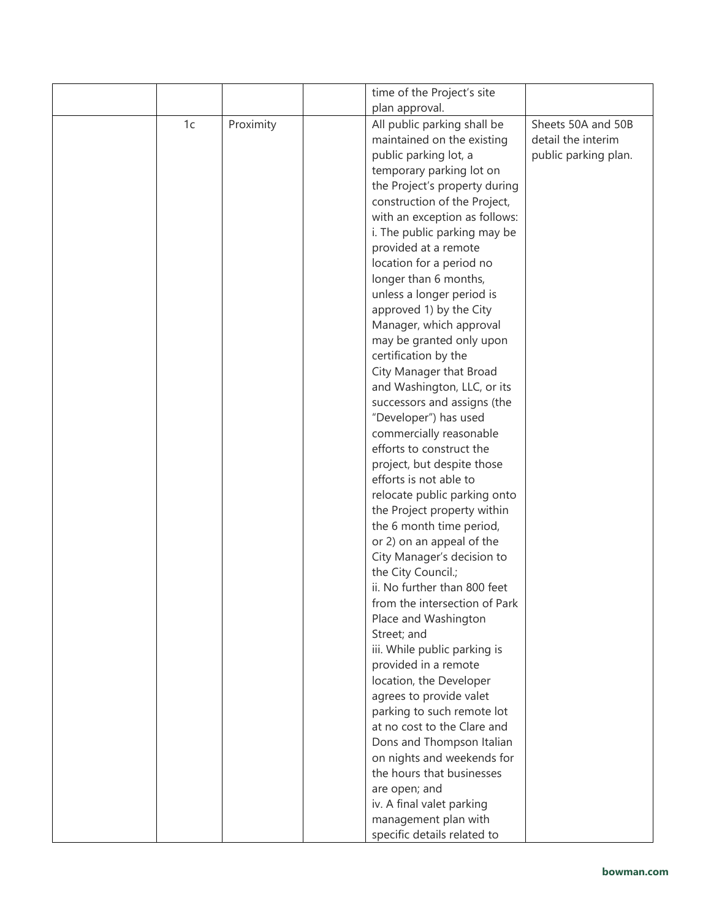|    |           | time of the Project's site    |                      |
|----|-----------|-------------------------------|----------------------|
|    |           | plan approval.                |                      |
| 1c | Proximity | All public parking shall be   | Sheets 50A and 50B   |
|    |           | maintained on the existing    | detail the interim   |
|    |           | public parking lot, a         | public parking plan. |
|    |           | temporary parking lot on      |                      |
|    |           | the Project's property during |                      |
|    |           | construction of the Project,  |                      |
|    |           | with an exception as follows: |                      |
|    |           | i. The public parking may be  |                      |
|    |           | provided at a remote          |                      |
|    |           | location for a period no      |                      |
|    |           | longer than 6 months,         |                      |
|    |           | unless a longer period is     |                      |
|    |           | approved 1) by the City       |                      |
|    |           |                               |                      |
|    |           | Manager, which approval       |                      |
|    |           | may be granted only upon      |                      |
|    |           | certification by the          |                      |
|    |           | City Manager that Broad       |                      |
|    |           | and Washington, LLC, or its   |                      |
|    |           | successors and assigns (the   |                      |
|    |           | "Developer") has used         |                      |
|    |           | commercially reasonable       |                      |
|    |           | efforts to construct the      |                      |
|    |           | project, but despite those    |                      |
|    |           | efforts is not able to        |                      |
|    |           | relocate public parking onto  |                      |
|    |           | the Project property within   |                      |
|    |           | the 6 month time period,      |                      |
|    |           | or 2) on an appeal of the     |                      |
|    |           | City Manager's decision to    |                      |
|    |           | the City Council.;            |                      |
|    |           | ii. No further than 800 feet  |                      |
|    |           | from the intersection of Park |                      |
|    |           | Place and Washington          |                      |
|    |           | Street; and                   |                      |
|    |           | iii. While public parking is  |                      |
|    |           | provided in a remote          |                      |
|    |           | location, the Developer       |                      |
|    |           | agrees to provide valet       |                      |
|    |           | parking to such remote lot    |                      |
|    |           | at no cost to the Clare and   |                      |
|    |           | Dons and Thompson Italian     |                      |
|    |           | on nights and weekends for    |                      |
|    |           | the hours that businesses     |                      |
|    |           | are open; and                 |                      |
|    |           | iv. A final valet parking     |                      |
|    |           | management plan with          |                      |
|    |           | specific details related to   |                      |
|    |           |                               |                      |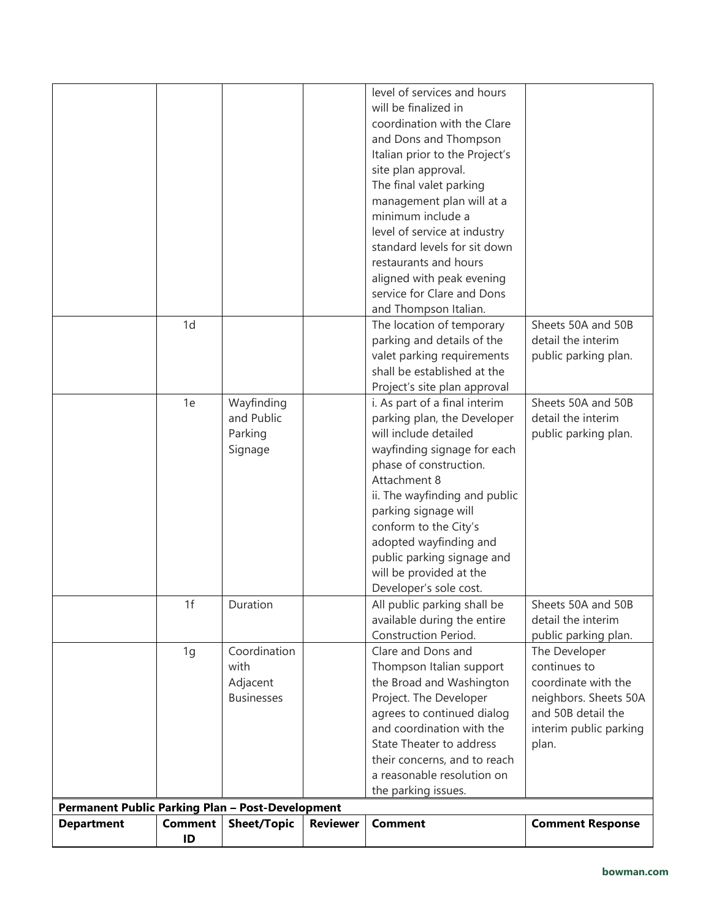|                                                         |                      |                                                       |                 | level of services and hours<br>will be finalized in<br>coordination with the Clare<br>and Dons and Thompson<br>Italian prior to the Project's<br>site plan approval.<br>The final valet parking                                                                                                                                                               |                                                                                                                                        |
|---------------------------------------------------------|----------------------|-------------------------------------------------------|-----------------|---------------------------------------------------------------------------------------------------------------------------------------------------------------------------------------------------------------------------------------------------------------------------------------------------------------------------------------------------------------|----------------------------------------------------------------------------------------------------------------------------------------|
|                                                         |                      |                                                       |                 | management plan will at a<br>minimum include a<br>level of service at industry<br>standard levels for sit down<br>restaurants and hours<br>aligned with peak evening<br>service for Clare and Dons<br>and Thompson Italian.                                                                                                                                   |                                                                                                                                        |
|                                                         | 1d                   |                                                       |                 | The location of temporary<br>parking and details of the<br>valet parking requirements<br>shall be established at the<br>Project's site plan approval                                                                                                                                                                                                          | Sheets 50A and 50B<br>detail the interim<br>public parking plan.                                                                       |
|                                                         | 1e                   | Wayfinding<br>and Public<br>Parking<br>Signage        |                 | i. As part of a final interim<br>parking plan, the Developer<br>will include detailed<br>wayfinding signage for each<br>phase of construction.<br>Attachment 8<br>ii. The wayfinding and public<br>parking signage will<br>conform to the City's<br>adopted wayfinding and<br>public parking signage and<br>will be provided at the<br>Developer's sole cost. | Sheets 50A and 50B<br>detail the interim<br>public parking plan.                                                                       |
|                                                         | 1f                   | Duration                                              |                 | All public parking shall be<br>available during the entire<br>Construction Period.                                                                                                                                                                                                                                                                            | Sheets 50A and 50B<br>detail the interim<br>public parking plan.                                                                       |
| <b>Permanent Public Parking Plan - Post-Development</b> | 1g                   | Coordination<br>with<br>Adjacent<br><b>Businesses</b> |                 | Clare and Dons and<br>Thompson Italian support<br>the Broad and Washington<br>Project. The Developer<br>agrees to continued dialog<br>and coordination with the<br>State Theater to address<br>their concerns, and to reach<br>a reasonable resolution on<br>the parking issues.                                                                              | The Developer<br>continues to<br>coordinate with the<br>neighbors. Sheets 50A<br>and 50B detail the<br>interim public parking<br>plan. |
| <b>Department</b>                                       | <b>Comment</b><br>ID | <b>Sheet/Topic</b>                                    | <b>Reviewer</b> | <b>Comment</b>                                                                                                                                                                                                                                                                                                                                                | <b>Comment Response</b>                                                                                                                |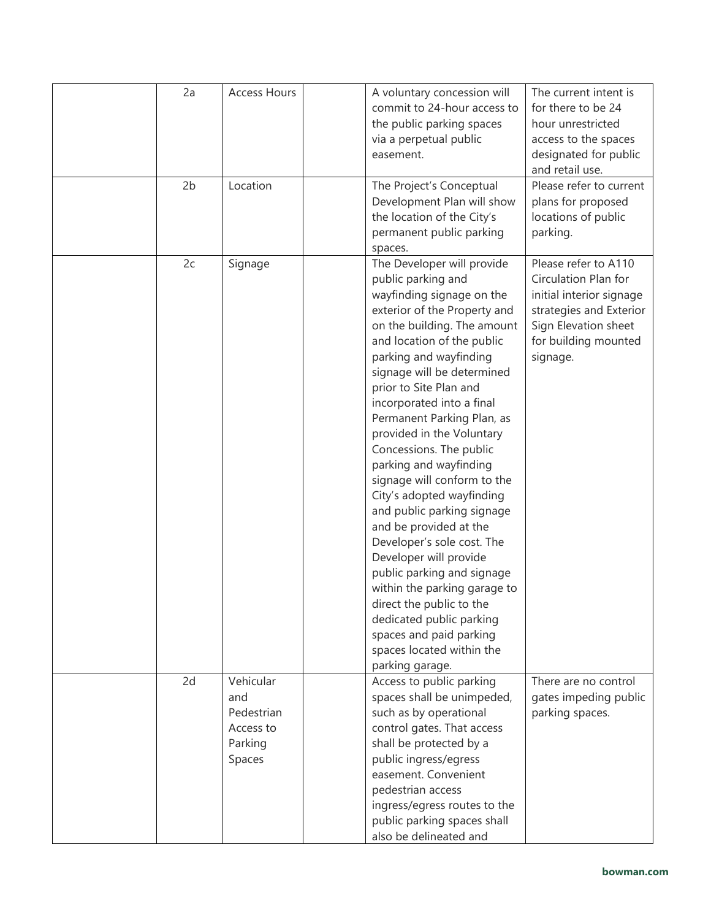| 2a<br>2 <sub>b</sub> | <b>Access Hours</b><br>Location                                  | A voluntary concession will<br>commit to 24-hour access to<br>the public parking spaces<br>via a perpetual public<br>easement.<br>The Project's Conceptual<br>Development Plan will show<br>the location of the City's<br>permanent public parking<br>spaces.                                                                                                                                                                                                                                                                                                                                                                                                                                                                                                                          | The current intent is<br>for there to be 24<br>hour unrestricted<br>access to the spaces<br>designated for public<br>and retail use.<br>Please refer to current<br>plans for proposed<br>locations of public<br>parking. |
|----------------------|------------------------------------------------------------------|----------------------------------------------------------------------------------------------------------------------------------------------------------------------------------------------------------------------------------------------------------------------------------------------------------------------------------------------------------------------------------------------------------------------------------------------------------------------------------------------------------------------------------------------------------------------------------------------------------------------------------------------------------------------------------------------------------------------------------------------------------------------------------------|--------------------------------------------------------------------------------------------------------------------------------------------------------------------------------------------------------------------------|
| 2c                   | Signage                                                          | The Developer will provide<br>public parking and<br>wayfinding signage on the<br>exterior of the Property and<br>on the building. The amount<br>and location of the public<br>parking and wayfinding<br>signage will be determined<br>prior to Site Plan and<br>incorporated into a final<br>Permanent Parking Plan, as<br>provided in the Voluntary<br>Concessions. The public<br>parking and wayfinding<br>signage will conform to the<br>City's adopted wayfinding<br>and public parking signage<br>and be provided at the<br>Developer's sole cost. The<br>Developer will provide<br>public parking and signage<br>within the parking garage to<br>direct the public to the<br>dedicated public parking<br>spaces and paid parking<br>spaces located within the<br>parking garage. | Please refer to A110<br>Circulation Plan for<br>initial interior signage<br>strategies and Exterior<br>Sign Elevation sheet<br>for building mounted<br>signage.                                                          |
| 2d                   | Vehicular<br>and<br>Pedestrian<br>Access to<br>Parking<br>Spaces | Access to public parking<br>spaces shall be unimpeded,<br>such as by operational<br>control gates. That access<br>shall be protected by a<br>public ingress/egress<br>easement. Convenient<br>pedestrian access<br>ingress/egress routes to the<br>public parking spaces shall<br>also be delineated and                                                                                                                                                                                                                                                                                                                                                                                                                                                                               | There are no control<br>gates impeding public<br>parking spaces.                                                                                                                                                         |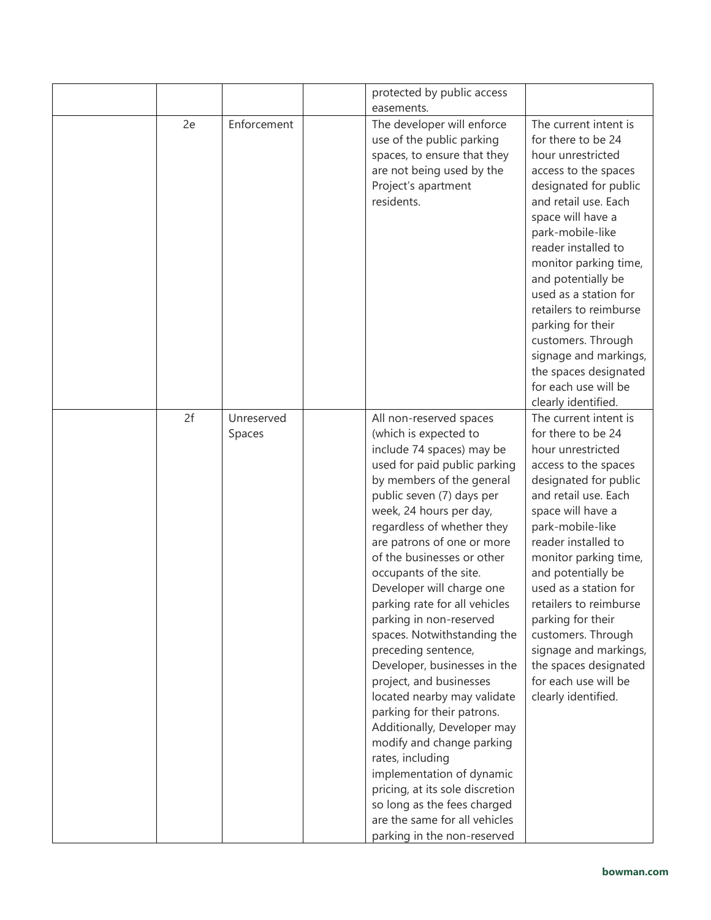|    |                      | protected by public access                                                                                                                                                                                                                                                                                                                                                                                                                                                                                                                                                                                                                                                                                                                                                                                                                   |                                                                                                                                                                                                                                                                                                                                                                                                                                                         |
|----|----------------------|----------------------------------------------------------------------------------------------------------------------------------------------------------------------------------------------------------------------------------------------------------------------------------------------------------------------------------------------------------------------------------------------------------------------------------------------------------------------------------------------------------------------------------------------------------------------------------------------------------------------------------------------------------------------------------------------------------------------------------------------------------------------------------------------------------------------------------------------|---------------------------------------------------------------------------------------------------------------------------------------------------------------------------------------------------------------------------------------------------------------------------------------------------------------------------------------------------------------------------------------------------------------------------------------------------------|
|    |                      | easements.                                                                                                                                                                                                                                                                                                                                                                                                                                                                                                                                                                                                                                                                                                                                                                                                                                   |                                                                                                                                                                                                                                                                                                                                                                                                                                                         |
| 2e | Enforcement          | The developer will enforce<br>use of the public parking<br>spaces, to ensure that they<br>are not being used by the<br>Project's apartment<br>residents.                                                                                                                                                                                                                                                                                                                                                                                                                                                                                                                                                                                                                                                                                     | The current intent is<br>for there to be 24<br>hour unrestricted<br>access to the spaces<br>designated for public<br>and retail use. Each<br>space will have a<br>park-mobile-like<br>reader installed to<br>monitor parking time,<br>and potentially be<br>used as a station for<br>retailers to reimburse<br>parking for their<br>customers. Through<br>signage and markings,<br>the spaces designated<br>for each use will be<br>clearly identified. |
| 2f | Unreserved<br>Spaces | All non-reserved spaces<br>(which is expected to<br>include 74 spaces) may be<br>used for paid public parking<br>by members of the general<br>public seven (7) days per<br>week, 24 hours per day,<br>regardless of whether they<br>are patrons of one or more<br>of the businesses or other<br>occupants of the site.<br>Developer will charge one<br>parking rate for all vehicles<br>parking in non-reserved<br>spaces. Notwithstanding the<br>preceding sentence,<br>Developer, businesses in the<br>project, and businesses<br>located nearby may validate<br>parking for their patrons.<br>Additionally, Developer may<br>modify and change parking<br>rates, including<br>implementation of dynamic<br>pricing, at its sole discretion<br>so long as the fees charged<br>are the same for all vehicles<br>parking in the non-reserved | The current intent is<br>for there to be 24<br>hour unrestricted<br>access to the spaces<br>designated for public<br>and retail use. Each<br>space will have a<br>park-mobile-like<br>reader installed to<br>monitor parking time,<br>and potentially be<br>used as a station for<br>retailers to reimburse<br>parking for their<br>customers. Through<br>signage and markings,<br>the spaces designated<br>for each use will be<br>clearly identified. |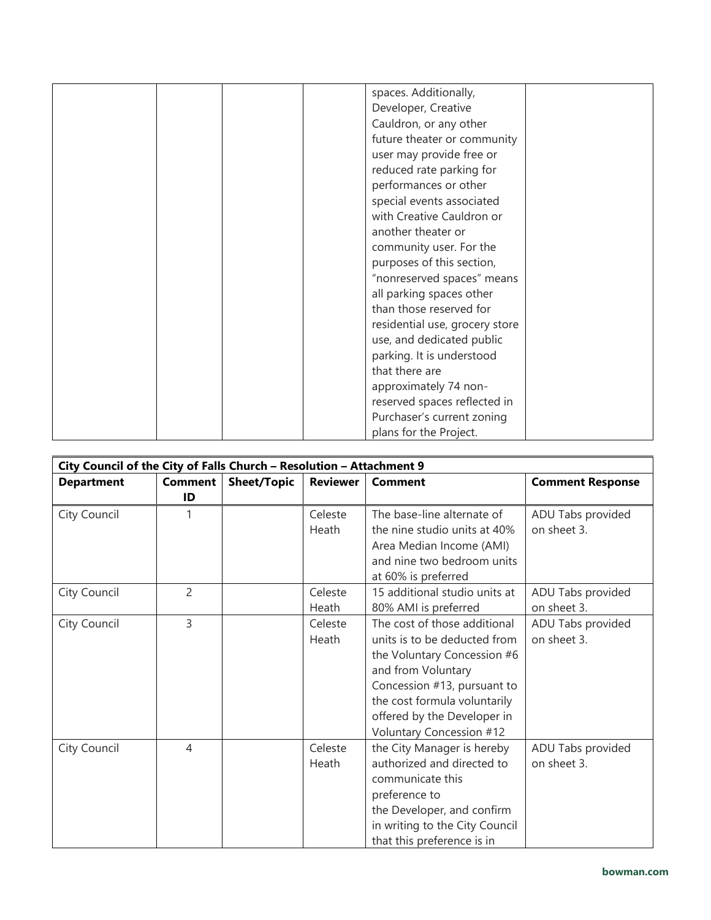|  | spaces. Additionally,          |  |
|--|--------------------------------|--|
|  | Developer, Creative            |  |
|  | Cauldron, or any other         |  |
|  | future theater or community    |  |
|  | user may provide free or       |  |
|  | reduced rate parking for       |  |
|  |                                |  |
|  | performances or other          |  |
|  | special events associated      |  |
|  | with Creative Cauldron or      |  |
|  | another theater or             |  |
|  | community user. For the        |  |
|  | purposes of this section,      |  |
|  | "nonreserved spaces" means     |  |
|  | all parking spaces other       |  |
|  | than those reserved for        |  |
|  | residential use, grocery store |  |
|  | use, and dedicated public      |  |
|  | parking. It is understood      |  |
|  | that there are                 |  |
|  | approximately 74 non-          |  |
|  | reserved spaces reflected in   |  |
|  | Purchaser's current zoning     |  |
|  |                                |  |
|  | plans for the Project.         |  |

| City Council of the City of Falls Church - Resolution - Attachment 9 |                |                    |                 |                                |                         |  |
|----------------------------------------------------------------------|----------------|--------------------|-----------------|--------------------------------|-------------------------|--|
| <b>Department</b>                                                    | <b>Comment</b> | <b>Sheet/Topic</b> | <b>Reviewer</b> | <b>Comment</b>                 | <b>Comment Response</b> |  |
|                                                                      | ID             |                    |                 |                                |                         |  |
| City Council                                                         | 1              |                    | Celeste         | The base-line alternate of     | ADU Tabs provided       |  |
|                                                                      |                |                    | Heath           | the nine studio units at 40%   | on sheet 3.             |  |
|                                                                      |                |                    |                 | Area Median Income (AMI)       |                         |  |
|                                                                      |                |                    |                 | and nine two bedroom units     |                         |  |
|                                                                      |                |                    |                 | at 60% is preferred            |                         |  |
| City Council                                                         | $\mathcal{P}$  |                    | Celeste         | 15 additional studio units at  | ADU Tabs provided       |  |
|                                                                      |                |                    | Heath           | 80% AMI is preferred           | on sheet 3.             |  |
| City Council                                                         | $\overline{3}$ |                    | Celeste         | The cost of those additional   | ADU Tabs provided       |  |
|                                                                      |                |                    | Heath           | units is to be deducted from   | on sheet 3.             |  |
|                                                                      |                |                    |                 | the Voluntary Concession #6    |                         |  |
|                                                                      |                |                    |                 | and from Voluntary             |                         |  |
|                                                                      |                |                    |                 | Concession #13, pursuant to    |                         |  |
|                                                                      |                |                    |                 | the cost formula voluntarily   |                         |  |
|                                                                      |                |                    |                 | offered by the Developer in    |                         |  |
|                                                                      |                |                    |                 | Voluntary Concession #12       |                         |  |
| City Council                                                         | $\overline{4}$ |                    | Celeste         | the City Manager is hereby     | ADU Tabs provided       |  |
|                                                                      |                |                    | Heath           | authorized and directed to     | on sheet 3.             |  |
|                                                                      |                |                    |                 | communicate this               |                         |  |
|                                                                      |                |                    |                 | preference to                  |                         |  |
|                                                                      |                |                    |                 | the Developer, and confirm     |                         |  |
|                                                                      |                |                    |                 | in writing to the City Council |                         |  |
|                                                                      |                |                    |                 | that this preference is in     |                         |  |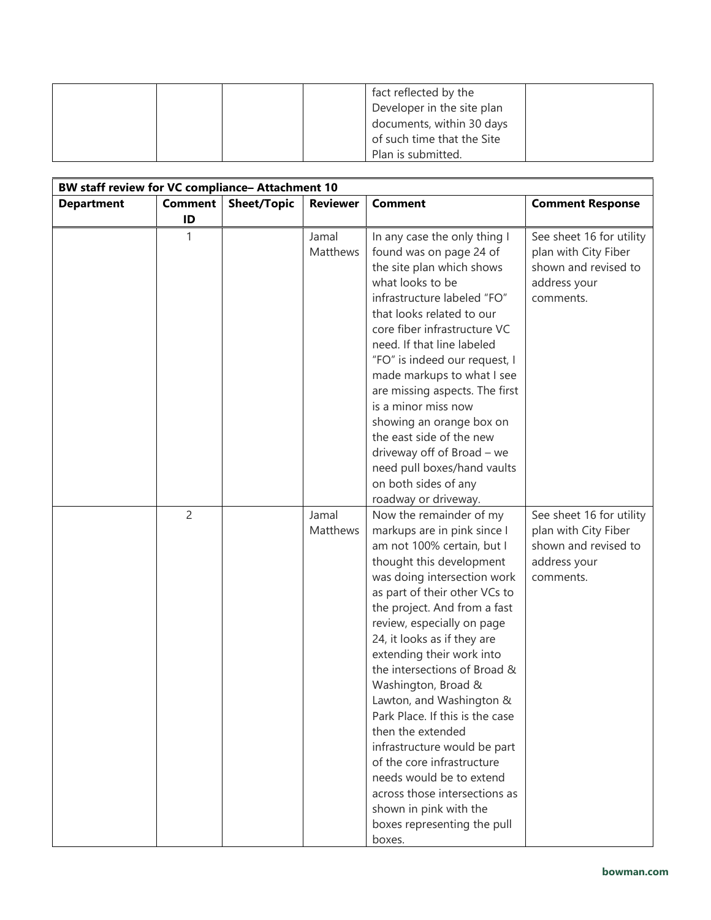|  |  | fact reflected by the      |  |
|--|--|----------------------------|--|
|  |  | Developer in the site plan |  |
|  |  | documents, within 30 days  |  |
|  |  | of such time that the Site |  |
|  |  | Plan is submitted.         |  |

| BW staff review for VC compliance- Attachment 10 |                |                    |                   |                                                                                                                                                                                                                                                                                                                                                                                                                                                                                                                                                                                                                                                     |                                                                                                       |  |  |
|--------------------------------------------------|----------------|--------------------|-------------------|-----------------------------------------------------------------------------------------------------------------------------------------------------------------------------------------------------------------------------------------------------------------------------------------------------------------------------------------------------------------------------------------------------------------------------------------------------------------------------------------------------------------------------------------------------------------------------------------------------------------------------------------------------|-------------------------------------------------------------------------------------------------------|--|--|
| <b>Department</b>                                | <b>Comment</b> | <b>Sheet/Topic</b> | <b>Reviewer</b>   | <b>Comment</b>                                                                                                                                                                                                                                                                                                                                                                                                                                                                                                                                                                                                                                      | <b>Comment Response</b>                                                                               |  |  |
|                                                  | ID             |                    |                   |                                                                                                                                                                                                                                                                                                                                                                                                                                                                                                                                                                                                                                                     |                                                                                                       |  |  |
|                                                  |                |                    | Jamal<br>Matthews | In any case the only thing I<br>found was on page 24 of<br>the site plan which shows<br>what looks to be<br>infrastructure labeled "FO"<br>that looks related to our<br>core fiber infrastructure VC<br>need. If that line labeled<br>"FO" is indeed our request, I<br>made markups to what I see<br>are missing aspects. The first<br>is a minor miss now<br>showing an orange box on<br>the east side of the new<br>driveway off of Broad - we<br>need pull boxes/hand vaults<br>on both sides of any<br>roadway or driveway.                                                                                                                     | See sheet 16 for utility<br>plan with City Fiber<br>shown and revised to<br>address your<br>comments. |  |  |
|                                                  | $\overline{2}$ |                    | Jamal<br>Matthews | Now the remainder of my<br>markups are in pink since I<br>am not 100% certain, but I<br>thought this development<br>was doing intersection work<br>as part of their other VCs to<br>the project. And from a fast<br>review, especially on page<br>24, it looks as if they are<br>extending their work into<br>the intersections of Broad &<br>Washington, Broad &<br>Lawton, and Washington &<br>Park Place. If this is the case<br>then the extended<br>infrastructure would be part<br>of the core infrastructure<br>needs would be to extend<br>across those intersections as<br>shown in pink with the<br>boxes representing the pull<br>boxes. | See sheet 16 for utility<br>plan with City Fiber<br>shown and revised to<br>address your<br>comments. |  |  |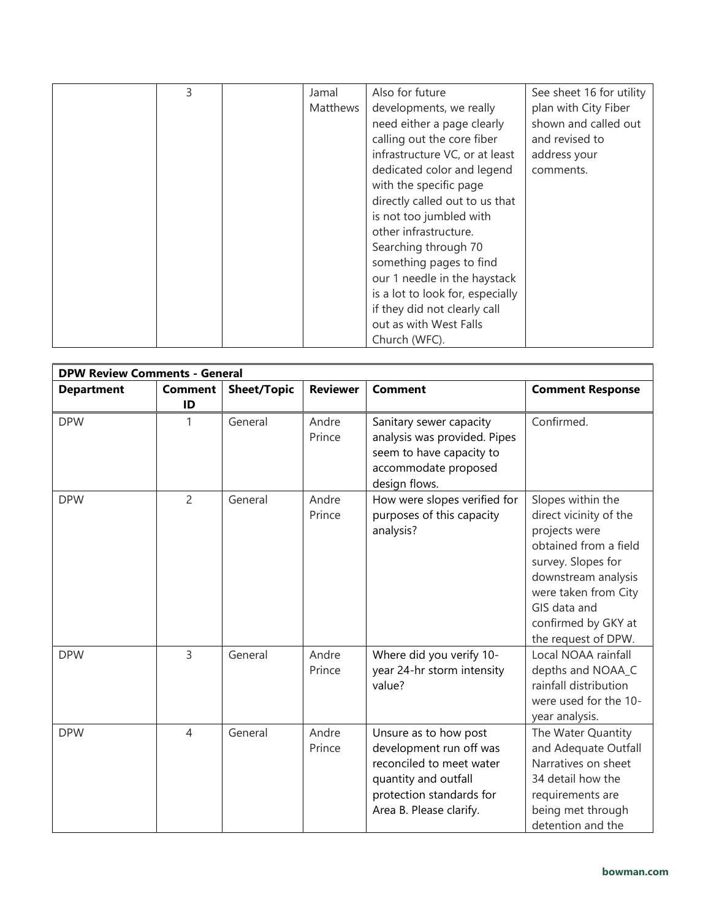| 3 | Jamal    | Also for future                  | See sheet 16 for utility |
|---|----------|----------------------------------|--------------------------|
|   | Matthews | developments, we really          | plan with City Fiber     |
|   |          | need either a page clearly       | shown and called out     |
|   |          | calling out the core fiber       | and revised to           |
|   |          | infrastructure VC, or at least   | address your             |
|   |          | dedicated color and legend       | comments.                |
|   |          | with the specific page           |                          |
|   |          | directly called out to us that   |                          |
|   |          | is not too jumbled with          |                          |
|   |          | other infrastructure.            |                          |
|   |          | Searching through 70             |                          |
|   |          | something pages to find          |                          |
|   |          | our 1 needle in the haystack     |                          |
|   |          | is a lot to look for, especially |                          |
|   |          | if they did not clearly call     |                          |
|   |          | out as with West Falls           |                          |
|   |          | Church (WFC).                    |                          |

|                   | <b>DPW Review Comments - General</b> |                    |                 |                                                                                                                                                             |                                                                                                                                                                                                                          |  |  |
|-------------------|--------------------------------------|--------------------|-----------------|-------------------------------------------------------------------------------------------------------------------------------------------------------------|--------------------------------------------------------------------------------------------------------------------------------------------------------------------------------------------------------------------------|--|--|
| <b>Department</b> | <b>Comment</b><br>ID                 | <b>Sheet/Topic</b> | <b>Reviewer</b> | <b>Comment</b>                                                                                                                                              | <b>Comment Response</b>                                                                                                                                                                                                  |  |  |
| <b>DPW</b>        | 1                                    | General            | Andre<br>Prince | Sanitary sewer capacity<br>analysis was provided. Pipes<br>seem to have capacity to<br>accommodate proposed<br>design flows.                                | Confirmed.                                                                                                                                                                                                               |  |  |
| <b>DPW</b>        | $\overline{c}$                       | General            | Andre<br>Prince | How were slopes verified for<br>purposes of this capacity<br>analysis?                                                                                      | Slopes within the<br>direct vicinity of the<br>projects were<br>obtained from a field<br>survey. Slopes for<br>downstream analysis<br>were taken from City<br>GIS data and<br>confirmed by GKY at<br>the request of DPW. |  |  |
| <b>DPW</b>        | $\overline{3}$                       | General            | Andre<br>Prince | Where did you verify 10-<br>year 24-hr storm intensity<br>value?                                                                                            | Local NOAA rainfall<br>depths and NOAA_C<br>rainfall distribution<br>were used for the 10-<br>year analysis.                                                                                                             |  |  |
| <b>DPW</b>        | $\overline{4}$                       | General            | Andre<br>Prince | Unsure as to how post<br>development run off was<br>reconciled to meet water<br>quantity and outfall<br>protection standards for<br>Area B. Please clarify. | The Water Quantity<br>and Adequate Outfall<br>Narratives on sheet<br>34 detail how the<br>requirements are<br>being met through<br>detention and the                                                                     |  |  |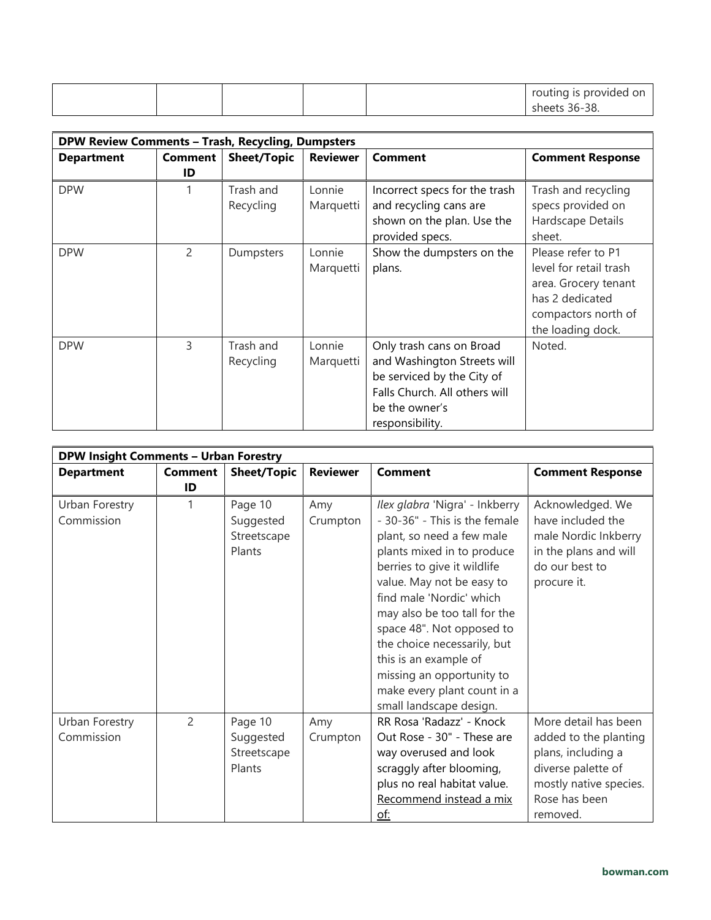|  |  | routing is provided on |
|--|--|------------------------|
|  |  | sheets 36-38.          |

| <b>DPW Review Comments - Trash, Recycling, Dumpsters</b> |               |                    |                 |                               |                         |  |
|----------------------------------------------------------|---------------|--------------------|-----------------|-------------------------------|-------------------------|--|
| <b>Department</b>                                        | Comment       | <b>Sheet/Topic</b> | <b>Reviewer</b> | <b>Comment</b>                | <b>Comment Response</b> |  |
|                                                          | ID            |                    |                 |                               |                         |  |
| <b>DPW</b>                                               |               | Trash and          | Lonnie          | Incorrect specs for the trash | Trash and recycling     |  |
|                                                          |               | Recycling          | Marquetti       | and recycling cans are        | specs provided on       |  |
|                                                          |               |                    |                 | shown on the plan. Use the    | Hardscape Details       |  |
|                                                          |               |                    |                 | provided specs.               | sheet.                  |  |
| <b>DPW</b>                                               | $\mathcal{P}$ | Dumpsters          | Lonnie          | Show the dumpsters on the     | Please refer to P1      |  |
|                                                          |               |                    | Marquetti       | plans.                        | level for retail trash  |  |
|                                                          |               |                    |                 |                               | area. Grocery tenant    |  |
|                                                          |               |                    |                 |                               | has 2 dedicated         |  |
|                                                          |               |                    |                 |                               | compactors north of     |  |
|                                                          |               |                    |                 |                               | the loading dock.       |  |
| <b>DPW</b>                                               | 3             | Trash and          | Lonnie          | Only trash cans on Broad      | Noted.                  |  |
|                                                          |               | Recycling          | Marquetti       | and Washington Streets will   |                         |  |
|                                                          |               |                    |                 | be serviced by the City of    |                         |  |
|                                                          |               |                    |                 | Falls Church. All others will |                         |  |
|                                                          |               |                    |                 | be the owner's                |                         |  |
|                                                          |               |                    |                 | responsibility.               |                         |  |

| <b>DPW Insight Comments - Urban Forestry</b> |                |                                               |                 |                                                                                                                                                                                                                                                                                                                                                                                                                                |                                                                                                                                                  |
|----------------------------------------------|----------------|-----------------------------------------------|-----------------|--------------------------------------------------------------------------------------------------------------------------------------------------------------------------------------------------------------------------------------------------------------------------------------------------------------------------------------------------------------------------------------------------------------------------------|--------------------------------------------------------------------------------------------------------------------------------------------------|
| <b>Department</b>                            | <b>Comment</b> | <b>Sheet/Topic</b>                            | <b>Reviewer</b> | <b>Comment</b>                                                                                                                                                                                                                                                                                                                                                                                                                 | <b>Comment Response</b>                                                                                                                          |
|                                              | ID             |                                               |                 |                                                                                                                                                                                                                                                                                                                                                                                                                                |                                                                                                                                                  |
| Urban Forestry<br>Commission                 | 1              | Page 10<br>Suggested<br>Streetscape<br>Plants | Amy<br>Crumpton | Ilex glabra 'Nigra' - Inkberry<br>- 30-36" - This is the female<br>plant, so need a few male<br>plants mixed in to produce<br>berries to give it wildlife<br>value. May not be easy to<br>find male 'Nordic' which<br>may also be too tall for the<br>space 48". Not opposed to<br>the choice necessarily, but<br>this is an example of<br>missing an opportunity to<br>make every plant count in a<br>small landscape design. | Acknowledged. We<br>have included the<br>male Nordic Inkberry<br>in the plans and will<br>do our best to<br>procure it.                          |
| Urban Forestry<br>Commission                 | $\overline{2}$ | Page 10<br>Suggested<br>Streetscape<br>Plants | Amy<br>Crumpton | RR Rosa 'Radazz' - Knock<br>Out Rose - 30" - These are<br>way overused and look<br>scraggly after blooming,<br>plus no real habitat value.<br>Recommend instead a mix<br><u>of:</u>                                                                                                                                                                                                                                            | More detail has been<br>added to the planting<br>plans, including a<br>diverse palette of<br>mostly native species.<br>Rose has been<br>removed. |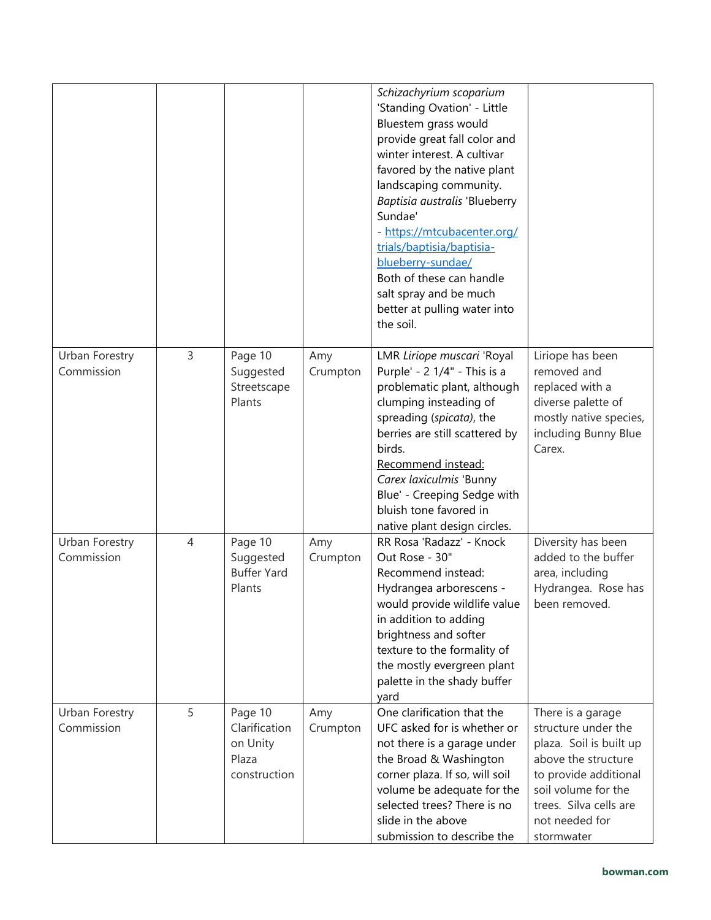|                              |                |                                                               |                 | Schizachyrium scoparium<br>'Standing Ovation' - Little<br>Bluestem grass would<br>provide great fall color and<br>winter interest. A cultivar<br>favored by the native plant<br>landscaping community.<br>Baptisia australis 'Blueberry<br>Sundae'<br>- https://mtcubacenter.org/<br>trials/baptisia/baptisia-<br>blueberry-sundae/<br>Both of these can handle<br>salt spray and be much<br>better at pulling water into<br>the soil. |                                                                                                                                                                                                      |
|------------------------------|----------------|---------------------------------------------------------------|-----------------|----------------------------------------------------------------------------------------------------------------------------------------------------------------------------------------------------------------------------------------------------------------------------------------------------------------------------------------------------------------------------------------------------------------------------------------|------------------------------------------------------------------------------------------------------------------------------------------------------------------------------------------------------|
| Urban Forestry<br>Commission | 3              | Page 10<br>Suggested<br>Streetscape<br>Plants                 | Amy<br>Crumpton | LMR Liriope muscari 'Royal<br>Purple' - 2 1/4" - This is a<br>problematic plant, although<br>clumping insteading of<br>spreading (spicata), the<br>berries are still scattered by<br>birds.<br>Recommend instead:<br>Carex laxiculmis 'Bunny<br>Blue' - Creeping Sedge with<br>bluish tone favored in<br>native plant design circles.                                                                                                  | Liriope has been<br>removed and<br>replaced with a<br>diverse palette of<br>mostly native species,<br>including Bunny Blue<br>Carex.                                                                 |
| Urban Forestry<br>Commission | $\overline{4}$ | Page 10<br>Suggested<br><b>Buffer Yard</b><br>Plants          | Amy<br>Crumpton | RR Rosa 'Radazz' - Knock<br>Out Rose - 30"<br>Recommend instead:<br>Hydrangea arborescens -<br>would provide wildlife value<br>in addition to adding<br>brightness and softer<br>texture to the formality of<br>the mostly evergreen plant<br>palette in the shady buffer<br>yard                                                                                                                                                      | Diversity has been<br>added to the buffer<br>area, including<br>Hydrangea. Rose has<br>been removed.                                                                                                 |
| Urban Forestry<br>Commission | 5              | Page 10<br>Clarification<br>on Unity<br>Plaza<br>construction | Amy<br>Crumpton | One clarification that the<br>UFC asked for is whether or<br>not there is a garage under<br>the Broad & Washington<br>corner plaza. If so, will soil<br>volume be adequate for the<br>selected trees? There is no<br>slide in the above<br>submission to describe the                                                                                                                                                                  | There is a garage<br>structure under the<br>plaza. Soil is built up<br>above the structure<br>to provide additional<br>soil volume for the<br>trees. Silva cells are<br>not needed for<br>stormwater |